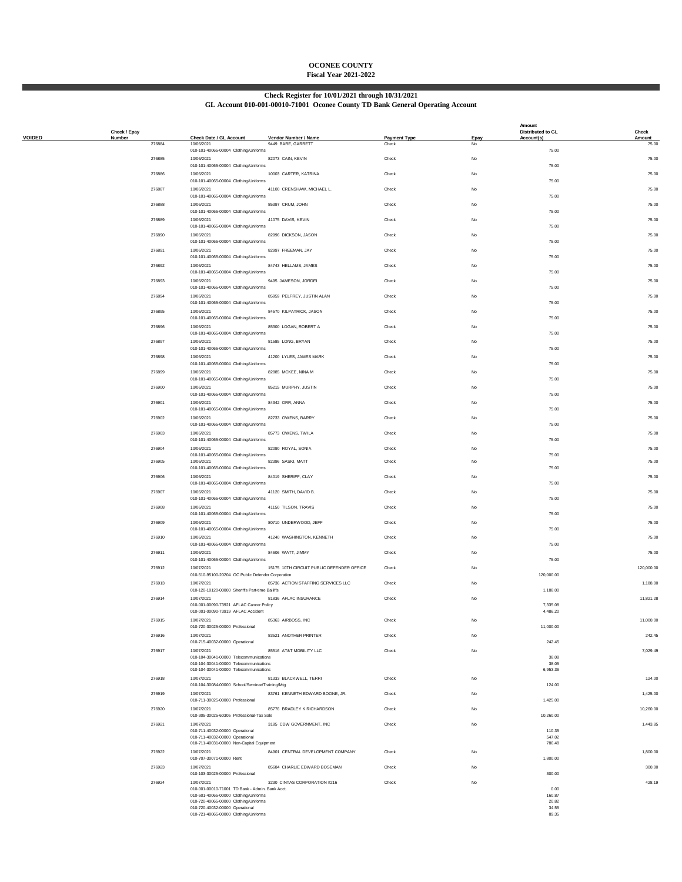## **OCONEE COUNTY Fiscal Year 2021-2022**

## **Check Register for 10/01/2021 through 10/31/2021**

**GL Account 010-001-00010-71001 Oconee County TD Bank General Operating Account**

|               | Check / Epay     |                                                                                  |                                            |                              |             | Amount<br>Distributed to GL | Check           |
|---------------|------------------|----------------------------------------------------------------------------------|--------------------------------------------|------------------------------|-------------|-----------------------------|-----------------|
| <b>VOIDED</b> | Number<br>276884 | Check Date / GL Account<br>10/06/2021                                            | Vendor Number / Name<br>9449 BARE, GARRETT | <b>Payment Type</b><br>Check | Epay<br>No  | Account(s)                  | Amount<br>75.00 |
|               | 276885           | 010-101-40065-00004 Clothing/Uniforms<br>10/06/2021                              | 82073 CAIN, KEVIN                          | Check                        | $_{\rm No}$ | 75.00                       | 75.00           |
|               |                  | 010-101-40065-00004 Clothing/Uniforms                                            |                                            |                              |             | 75.00                       |                 |
|               | 276886           | 10/06/2021<br>010-101-40065-00004 Clothing/Uniforms                              | 10003 CARTER, KATRINA                      | Check                        | No          | 75.00                       | 75.00           |
|               | 276887           | 10/06/2021                                                                       | 41100 CRENSHAW, MICHAEL L.                 | Check                        | No          |                             | 75.00           |
|               | 276888           | 010-101-40065-00004 Clothing/Uniforms<br>10/06/2021                              | 85397 CRUM, JOHN                           | Check                        | No          | 75.00                       | 75.00           |
|               |                  | 010-101-40065-00004 Clothing/Uniforms                                            |                                            |                              |             | 75.00                       |                 |
|               | 276889           | 10/06/2021<br>010-101-40065-00004 Clothing/Uniforms                              | 41075 DAVIS, KEVIN                         | Check                        | No          | 75.00                       | 75.00           |
|               | 276890           | 10/06/2021                                                                       | 82996 DICKSON, JASON                       | Check                        | No          | 75.00                       | 75.00           |
|               | 276891           | 010-101-40065-00004 Clothing/Uniforms<br>10/06/2021                              | 82997 FREEMAN, JAY                         | Check                        | No          |                             | 75.00           |
|               | 276892           | 010-101-40065-00004 Clothing/Uniforms<br>10/06/2021                              | 84743 HELLAMS, JAMES                       | Check                        | $_{\rm No}$ | 75.00                       | 75.00           |
|               |                  | 010-101-40065-00004 Clothing/Uniforms                                            |                                            |                              |             | 75.00                       |                 |
|               | 276893           | 10/06/2021<br>010-101-40065-00004 Clothing/Uniforms                              | 9495 JAMESON, JORDEI                       | Check                        | $_{\rm No}$ | 75.00                       | 75.00           |
|               | 276894           | 10/06/2021                                                                       | 85959 PELFREY, JUSTIN ALAN                 | Check                        | No          |                             | 75.00           |
|               | 276895           | 010-101-40065-00004 Clothing/Uniforms<br>10/06/2021                              | 84570 KILPATRICK, JASON                    | Check                        | No          | 75.00                       | 75.00           |
|               |                  | 010-101-40065-00004 Clothing/Uniforms                                            |                                            |                              |             | 75.00                       |                 |
|               | 276896           | 10/06/2021<br>010-101-40065-00004 Clothing/Uniforms                              | 85300 LOGAN, ROBERT A                      | Check                        | No          | 75.00                       | 75.00           |
|               | 276897           | 10/06/2021<br>010-101-40065-00004 Clothing/Uniforms                              | 81585 LONG, BRYAN                          | Check                        | No          | 75.00                       | 75.00           |
|               | 276898           | 10/06/2021                                                                       | 41200 LYLES, JAMES MARK                    | Check                        | No          |                             | 75.00           |
|               | 276899           | 010-101-40065-00004 Clothing/Uniforms<br>10/06/2021                              | 82885 MCKEE, NINA M                        | Check                        | No          | 75.00                       | 75.00           |
|               |                  | 010-101-40065-00004 Clothing/Uniforms                                            |                                            |                              |             | 75.00                       |                 |
|               | 276900           | 10/06/2021<br>010-101-40065-00004 Clothing/Uniforms                              | 85215 MURPHY, JUSTIN                       | Check                        | $_{\rm No}$ | 75.00                       | 75.00           |
|               | 276901           | 10/06/2021                                                                       | 84342 ORR, ANNA                            | Check                        | No          |                             | 75.00           |
|               | 276902           | 010-101-40065-00004 Clothing/Uniforms<br>10/06/2021                              | 82733 OWENS, BARRY                         | Check                        | No          | 75.00                       | 75.00           |
|               |                  | 010-101-40065-00004 Clothing/Uniforms                                            |                                            |                              |             | 75.00                       |                 |
|               | 276903           | 10/06/2021<br>010-101-40065-00004 Clothing/Uniforms                              | 85773 OWENS, TWILA                         | Check                        | No          | 75.00                       | 75.00           |
|               | 276904           | 10/06/2021<br>010-101-40065-00004 Clothing/Uniforms                              | 82090 ROYAL, SONIA                         | Check                        | No          | 75.00                       | 75.00           |
|               | 276905           | 10/06/2021<br>010-101-40065-00004 Clothing/Uniforms                              | 82396 SASKI, MATT                          | Check                        | No          | 75.00                       | 75.00           |
|               | 276906           | 10/06/2021                                                                       | 84019 SHERIFF, CLAY                        | Check                        | No          |                             | 75.00           |
|               | 276907           | 010-101-40065-00004 Clothing/Uniforms<br>10/06/2021                              | 41120 SMITH, DAVID B.                      | Check                        | No          | 75.00                       | 75.00           |
|               |                  | 010-101-40065-00004 Clothing/Uniforms                                            |                                            |                              |             | 75.00                       |                 |
|               | 276908           | 10/06/2021<br>010-101-40065-00004 Clothing/Uniforms                              | 41150 TILSON, TRAVIS                       | Check                        | No          | 75.00                       | 75.00           |
|               | 276909           | 10/06/2021                                                                       | 80710 UNDERWOOD, JEFF                      | Check                        | No          |                             | 75.00           |
|               | 276910           | 010-101-40065-00004 Clothing/Uniforms<br>10/06/2021                              | 41240 WASHINGTON, KENNETH                  | Check                        | No          | 75.00                       | 75.00           |
|               |                  | 010-101-40065-00004 Clothing/Uniforms                                            |                                            |                              |             | 75.00                       |                 |
|               | 276911           | 10/06/2021<br>010-101-40065-00004 Clothing/Uniforms                              | 84606 WATT, JIMMY                          | Check                        | No          | 75.00                       | 75.00           |
|               | 276912           | 10/07/2021<br>010-510-95100-20204 OC Public Defender Corporation                 | 15175 10TH CIRCUIT PUBLIC DEFENDER OFFICE  | Check                        | No          | 120,000.00                  | 120,000.00      |
|               | 276913           | 10/07/2021                                                                       | 85736 ACTION STAFFING SERVICES LLC         | Check                        | No          |                             | 1,188.00        |
|               | 276914           | 010-120-10120-00000 Sheriff's Part-time Bailiffs<br>10/07/2021                   | 81836 AFLAC INSURANCE                      | Check                        | $_{\rm No}$ | 1,188.00                    | 11,821.28       |
|               |                  | 010-001-00090-73921 AFLAC Cancer Policy<br>010-001-00090-73919 AFLAC Accident    |                                            |                              |             | 7,335.08<br>4,486.20        |                 |
|               | 276915           | 10/07/2021                                                                       | 85363 AIRBOSS, INC                         | Check                        |             |                             | 11,000.00       |
|               | 276916           | 010-720-30025-00000 Professional<br>10/07/2021                                   | 83521 ANOTHER PRINTER                      | Check                        | No          | 11,000.00                   | 242.45          |
|               |                  | 010-715-40032-00000 Operational                                                  |                                            |                              |             | 242.45                      |                 |
|               | 276917           | 10/07/2021<br>010-104-30041-00000 Telecommunications                             | 85516 AT&T MOBILITY LLC                    | Check                        | No          | 38.08                       | 7,029.49        |
|               |                  | 010-104-30041-00000 Telecommunications<br>010-104-30041-00000 Telecommunications |                                            |                              |             | 38.05<br>6,953.36           |                 |
|               | 276918           | 10/07/2021                                                                       | 81333 BLACKWELL, TERRI                     | Check                        | No          |                             | 124.00          |
|               | 276919           | 010-104-30084-00000 School/Seminar/Training/Mtg<br>10/07/2021                    | 83761 KENNETH EDWARD BOONE, JR.            | Check                        | No          | 124.00                      | 1,425.00        |
|               |                  | 010-711-30025-00000 Professional                                                 |                                            |                              |             | 1,425.00                    |                 |
|               | 276920           | 10/07/2021<br>010-305-30025-60305 Professional-Tax Sale                          | 85776 BRADLEY K RICHARDSON                 | Check                        | No          | 10,260.00                   | 10,260.00       |
|               | 276921           | 10/07/2021<br>010-711-40032-00000 Operational                                    | 3185 CDW GOVERNMENT, INC                   | Check                        | No          |                             | 1,443.85        |
|               |                  | 010-711-40032-00000 Operational                                                  |                                            |                              |             | 110.35<br>547.02            |                 |
|               | 276922           | 010-711-40031-00000 Non-Capital Equipment<br>10/07/2021                          | 84901 CENTRAL DEVELOPMENT COMPANY          | Check                        | No          | 786.48                      | 1,800.00        |
|               |                  | 010-707-30071-00000 Rent                                                         |                                            |                              |             | 1,800.00                    |                 |
|               | 276923           | 10/07/2021<br>010-103-30025-00000 Professional                                   | 85684 CHARLIE EDWARD BOSEMAN               | Check                        | No          | 300.00                      | 300.00          |
|               | 276924           | 10/07/2021<br>010-001-00010-71001 TD Bank - Admin. Bank Acct.                    | 3230 CINTAS CORPORATION #216               | Check                        | No          | 0.00                        | 428.19          |
|               |                  | 010-601-40065-00000 Clothing/Uniforms<br>010-720-40065-00000 Clothing/Uniforms   |                                            |                              |             | 160.87<br>20.82             |                 |
|               |                  | 010-720-40032-00000 Operational                                                  |                                            |                              |             | 34.55<br>89.35              |                 |
|               |                  | 010-721-40065-00000 Clothing/Uniforms                                            |                                            |                              |             |                             |                 |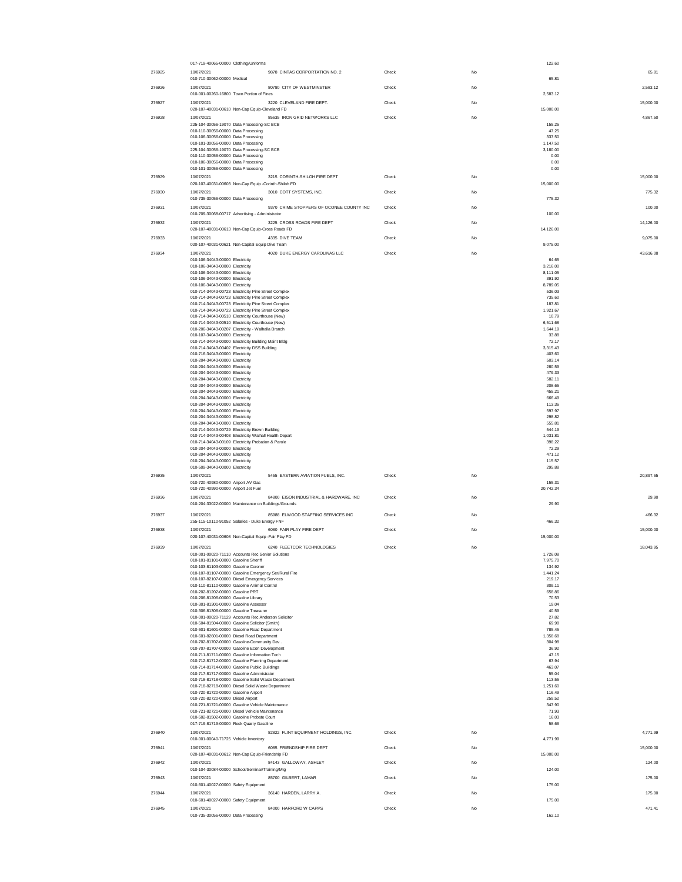|        | 017-719-40065-00000 Clothing/Uniforms                                                                        |       |             | 122.60               |           |
|--------|--------------------------------------------------------------------------------------------------------------|-------|-------------|----------------------|-----------|
| 276925 | 9878 CINTAS CORPORTATION NO. 2<br>10/07/2021<br>010-710-30062-00000 Medical                                  | Check | No          | 65.81                | 65.81     |
| 276926 | 10/07/2021<br>80780 CITY OF WESTMINSTER                                                                      | Check | No          |                      | 2.583.12  |
|        | 010-001-00260-16800 Town Portion of Fines                                                                    |       |             | 2,583.12             |           |
| 276927 | 10/07/2021<br>3220 CLEVELAND FIRE DEPT.                                                                      | Check | No          | 15,000.00            | 15,000.00 |
| 276928 | 020-107-40031-00610 Non-Cap Equip-Cleveland FD<br>10/07/2021<br>85635 IRON GRID NETWORKS LLC                 | Check | $_{\rm No}$ |                      | 4,867.50  |
|        | 225-104-30056-19070 Data Processing-SC BCB                                                                   |       |             | 155.25               |           |
|        | 010-110-30056-00000 Data Processing<br>010-106-30056-00000 Data Processing                                   |       |             | 47.25<br>337.50      |           |
|        | 010-101-30056-00000 Data Processing                                                                          |       |             | 1,147.50             |           |
|        | 225-104-30056-19070 Data Processing-SC BCB<br>010-110-30056-00000 Data Processing                            |       |             | 3,180.00<br>0.00     |           |
|        | 010-106-30056-00000 Data Processing<br>010-101-30056-00000 Data Processing                                   |       |             | 0.00<br>0.00         |           |
| 276929 | 10/07/2021<br>3215 CORINTH-SHILOH FIRE DEPT                                                                  | Check | No          |                      | 15,000.00 |
|        | 020-107-40031-00603 Non-Cap Equip -Corinth-Shiloh FD                                                         |       |             | 15,000.00            |           |
| 276930 | 3010 COTT SYSTEMS, INC.<br>10/07/2021<br>010-735-30056-00000 Data Processing                                 | Check | No          | 775.32               | 775.32    |
| 276931 | 9370 CRIME STOPPERS OF OCONEE COUNTY INC<br>10/07/2021                                                       | Check | No          |                      | 100.00    |
|        | 010-709-30068-00717 Advertising - Administrator                                                              |       |             | 100.00               |           |
| 276932 | 3225 CROSS ROADS FIRE DEPT<br>10/07/2021<br>020-107-40031-00613 Non-Cap Equip-Cross Roads FD                 | Check | No          | 14,126.00            | 14,126.00 |
| 276933 | 10/07/2021<br>4335 DIVE TEAM                                                                                 | Check | No          |                      | 9,075.00  |
|        | 020-107-40031-00621 Non-Capital Equip Dive Team                                                              |       |             | 9,075.00             |           |
| 276934 | 10/07/2021<br>4020 DUKE ENERGY CAROLINAS LLC<br>010-106-34043-00000 Electricity                              | Check | $_{\rm No}$ | 64.65                | 43,616.08 |
|        | 010-106-34043-00000 Electricity                                                                              |       |             | 3,216.00             |           |
|        | 010-106-34043-00000 Electricity<br>010-106-34043-00000 Electricity                                           |       |             | 8,111.05<br>391.92   |           |
|        | 010-106-34043-00000 Electricity<br>010-714-34043-00723 Electricity Pine Street Complex                       |       |             | 8,789.05<br>536.03   |           |
|        | 010-714-34043-00723 Electricity Pine Street Complex                                                          |       |             | 735.60               |           |
|        | 010-714-34043-00723 Electricity Pine Street Complex<br>010-714-34043-00723 Electricity Pine Street Complex   |       |             | 187.81<br>1,921.67   |           |
|        | 010-714-34043-00510 Electricity Courthouse (New)                                                             |       |             | 10.79<br>6.511.68    |           |
|        | 010-714-34043-00510 Electricity Courthouse (New)<br>010-206-34043-00207 Electricity - Walhalla Branch        |       |             | 1,644.19             |           |
|        | 010-107-34043-00000 Electricity<br>010-714-34043-00000 Electricity Building Maint Bldg                       |       |             | 33.88<br>72.17       |           |
|        | 010-714-34043-00402 Electricity DSS Building                                                                 |       |             | 3,315.43             |           |
|        | 010-716-34043-00000 Electricity<br>010-204-34043-00000 Electricity                                           |       |             | 403.60<br>503.14     |           |
|        | 010-204-34043-00000 Electricity                                                                              |       |             | 280.59               |           |
|        | 010-204-34043-00000 Electricity<br>010-204-34043-00000 Electricity                                           |       |             | 479.33<br>582.11     |           |
|        | 010-204-34043-00000 Electricity<br>010-204-34043-00000 Electricity                                           |       |             | 208.65<br>455.21     |           |
|        | 010-204-34043-00000 Electricity                                                                              |       |             | 666.49               |           |
|        | 010-204-34043-00000 Electricity<br>010-204-34043-00000 Electricity                                           |       |             | 113.36<br>597.97     |           |
|        | 010-204-34043-00000 Electricity                                                                              |       |             | 298.82               |           |
|        | 010-204-34043-00000 Electricity<br>010-714-34043-00729 Electricity Brown Building                            |       |             | 555.81<br>544.19     |           |
|        | 010-714-34043-00403 Electricity Walhall Health Depart<br>010-714-34043-00109 Electricity Probation & Parole  |       |             | 1,031.81<br>398.22   |           |
|        | 010-204-34043-00000 Electricity                                                                              |       |             | 72.29                |           |
|        | 010-204-34043-00000 Electricity<br>010-204-34043-00000 Electricity                                           |       |             | 471.12<br>115.57     |           |
|        | 010-509-34043-00000 Electricity                                                                              |       |             | 295.88               |           |
| 276935 | 5455 EASTERN AVIATION FUELS, INC.<br>10/07/2021<br>010-720-40980-00000 Airport AV Gas                        | Check | No          | 155.31               | 20,897.65 |
|        | 010-720-40990-00000 Airport Jet Fuel                                                                         |       |             | 20,742.34            |           |
| 276936 | 10/07/2021<br>84800 EISON INDUSTRIAL & HARDWARE, INC<br>010-204-33022-00000 Maintenance on Buildings/Grounds | Check | $_{\rm No}$ |                      | 29.90     |
|        |                                                                                                              |       |             | 29.90                |           |
| 276937 | 85988 ELWOOD STAFFING SERVICES INC<br>10/07/2021<br>255-115-10110-91052 Salaries - Duke Energy FNF           | Check | No          | 466.32               | 466.32    |
| 276938 | 10/07/2021<br>6080 FAIR PLAY FIRE DEPT                                                                       | Check | No          |                      | 15,000.00 |
|        | 020-107-40031-00608 Non-Capital Equip -Fair Play FD                                                          |       |             | 15,000.00            |           |
| 276939 | 6240 FLEETCOR TECHNOLOGIES<br>10/07/2021                                                                     | Check | $_{\rm No}$ |                      | 18,043.95 |
|        | 010-001-00020-71110 Accounts Rec Senior Solutions<br>010-101-81101-00000 Gasoline Sherif                     |       |             | 1,726.08<br>7,975.70 |           |
|        | 010-103-81103-00000 Gasoline Coroner<br>010-107-81107-00000 Gasoline Emergency Ser/Rural Fire                |       |             | 134.92<br>1.441.24   |           |
|        | 010-107-82107-00000 Diesel Emergency Services                                                                |       |             | 219.17               |           |
|        | 010-110-81110-00000 Gasoline Animal Control<br>010-202-81202-00000 Gasoline PRT                              |       |             | 309.11<br>658.86     |           |
|        | 010-206-81206-00000 Gasoline Library<br>010-301-81301-00000 Gasoline Assessor                                |       |             | 70.53<br>19.04       |           |
|        | 010-306-81306-00000 Gasoline Treasurer                                                                       |       |             | 40.59                |           |
|        | 010-001-00020-71129 Accounts Rec Anderson Solicitor<br>010-504-81504-00000 Gasoline Solicitor (Smith)        |       |             | 27.82<br>69.98       |           |
|        | 010-601-81601-00000 Gasoline Road Department                                                                 |       |             | 785.45               |           |
|        | 010-601-82601-00000 Diesel Road Department<br>010-702-81702-00000 Gasoline-Community Dev.                    |       |             | 1,358.68<br>304.98   |           |
|        | 010-707-81707-00000 Gasoline Econ Development<br>010-711-81711-00000 Gasoline Information Tech               |       |             | 36.92<br>47.15       |           |
|        | 010-712-81712-00000 Gasoline Planning Department                                                             |       |             | 63.94                |           |
|        | 010-714-81714-00000 Gasoline Public Buildings<br>010-717-81717-00000 Gasoline Administrator                  |       |             | 463.07<br>55.04      |           |
|        | 010-718-81718-00000 Gasoline Solid Waste Department                                                          |       |             | 113.55               |           |
|        | 010-718-82718-00000 Diesel Solid Waste Department<br>010-720-81720-00000 Gasoline Airport                    |       |             | 1,251.60<br>116.49   |           |
|        | 010-720-82720-00000 Diesel Airport<br>010-721-81721-00000 Gasoline Vehicle Maintenance                       |       |             | 259.52<br>347.90     |           |
|        | 010-721-82721-00000 Diesel Vehicle Maintenance                                                               |       |             | 71.93                |           |
|        | 010-502-81502-00000 Gasoline Probate Court<br>017-719-81719-00000 Rock Quarry Gasoline                       |       |             | 16.03<br>58.66       |           |
| 276940 | 82822 FLINT EQUIPMENT HOLDINGS, INC.<br>10/07/2021                                                           | Check | No          |                      | 4.771.99  |
|        | 010-001-00040-71725 Vehicle Inventory<br>10/07/2021                                                          |       |             | 4,771.99             |           |
| 276941 | 6085 FRIENDSHIP FIRE DEPT<br>020-107-40031-00612 Non-Cap Equip-Friendship FD                                 | Check | $_{\rm No}$ | 15,000.00            | 15,000.00 |
| 276942 | 84143 GALLOWAY, ASHLEY<br>10/07/2021                                                                         | Check | $_{\rm No}$ |                      | 124.00    |
| 276943 | 010-104-30084-00000 School/Seminar/Training/Mtg                                                              |       |             | 124.00               |           |
|        |                                                                                                              |       |             |                      |           |
|        | 10/07/2021<br>85700 GILBERT, LAMAR<br>010-601-40027-00000 Safety Equipment                                   | Check | $_{\rm No}$ | 175.00               | 175.00    |
| 276944 | 10/07/2021<br>36140 HARDEN, LARRY A.                                                                         | Check | No          |                      | 175.00    |
| 276945 | 010-601-40027-00000 Safety Equipment<br>10/07/2021<br>84000 HARFORD W CAPPS                                  | Check | No          | 175.00               | 471.41    |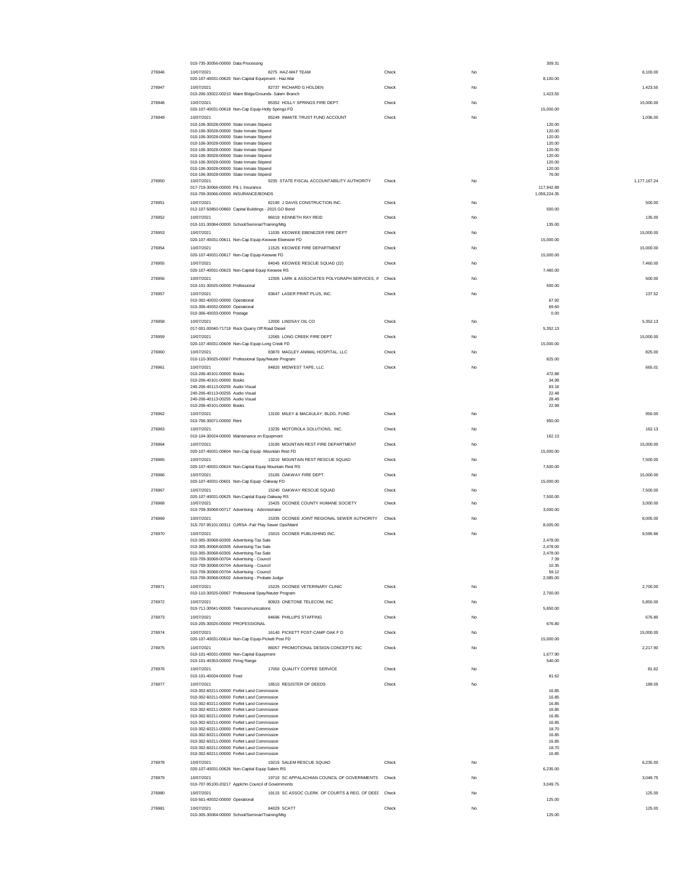|        | 010-735-30056-00000 Data Processing                                                        |                                                      |       |              | 309.31                     |
|--------|--------------------------------------------------------------------------------------------|------------------------------------------------------|-------|--------------|----------------------------|
| 276946 | 10/07/2021                                                                                 | 8275 HAZ-MAT TEAM                                    | Check | No           | 8,100.00                   |
|        | 020-107-40031-00620 Non-Capital Equipment - Haz-Mat                                        |                                                      |       |              | 8,100.00                   |
| 276947 | 10/07/2021<br>010-206-33022-00210 Maint Bldgs/Grounds- Salem Branch                        | 82737 RICHARD G HOLDEN                               | Check | No           | 1,423.55<br>1,423.55       |
| 276948 | 10/07/2021                                                                                 | 85352 HOLLY SPRINGS FIRE DEPT.                       | Check | No           | 15,000.00                  |
|        | 020-107-40031-00618 Non-Cap Equip-Holly Springs FD                                         |                                                      |       |              | 15,000.00                  |
| 276949 | 10/07/2021<br>010-106-30028-00000 State Inmate Stinend                                     | 85249 INMATE TRUST FUND ACCOUNT                      | Check | <b>No</b>    | 1.036.00<br>120.00         |
|        | 010-106-30028-00000 State Inmate Stipend                                                   |                                                      |       |              | 120.00                     |
|        | 010-106-30028-00000 State Inmate Stipend<br>010-106-30028-00000 State Inmate Stipend       |                                                      |       |              | 120.00<br>120.00           |
|        | 010-106-30028-00000 State Inmate Stipend                                                   |                                                      |       |              | 120.00                     |
|        | 010-106-30028-00000 State Inmate Stipend                                                   |                                                      |       |              | 120.00                     |
|        | 010-106-30028-00000 State Inmate Stipend<br>010-106-30028-00000 State Inmate Stipend       |                                                      |       |              | 120.00<br>120.00           |
|        | 010-106-30028-00000 State Inmate Stipend                                                   | 9235 STATE FISCAL ACCOUNTABILITY AUTHORITY           | Check |              | 76.00                      |
| 276950 | 10/07/2021<br>017-719-30066-00000 P& L Insurance                                           |                                                      |       | No           | 1,177,167.24<br>117,942.89 |
|        | 010-709-30066-00000 INSURANCE/BONDS                                                        |                                                      |       | 1,059,224.35 |                            |
| 276951 | 10/07/2021                                                                                 | 82190 J DAVIS CONSTRUCTION INC.                      | Check | No           | 500.00                     |
| 276952 | 012-107-50850-00860 Capital Buildings - 2015 GO Bond<br>10/07/2021                         | 86019 KENNETH RAY REID                               | Check | No           | 500.00<br>135.00           |
|        | 010-101-30084-00000 School/Seminar/Training/Mtg                                            |                                                      |       |              | 135.00                     |
| 276953 | 10/07/2021                                                                                 | 11035 KEOWEE EBENEZER FIRE DEPT                      | Check | <b>No</b>    | 15,000.00                  |
|        | 020-107-40031-00611 Non-Cap Equip-Keowee Ebenezer FD                                       |                                                      |       |              | 15,000.00                  |
| 276954 | 10/07/2021<br>020-107-40031-00617 Non-Cap Equip-Keowee FD                                  | 11525 KEOWEE FIRE DEPARTMENT                         | Check | No           | 15,000.00<br>15,000.00     |
| 276955 | 10/07/2021                                                                                 | 84045 KEOWEE RESCUE SQUAD (22)                       | Check | <b>No</b>    | 7.460.00                   |
|        | 020-107-40031-00623 Non-Capital Equip Keowee RS                                            |                                                      |       |              | 7,460.00                   |
| 276956 | 10/07/2021                                                                                 | 12305 LARK & ASSOCIATES POLYGRAPH SERVICES, II Check |       | <b>No</b>    | 500.00                     |
| 276957 | 010-101-30025-00000 Professional<br>10/07/2021                                             | 83647 LASER PRINT PLUS, INC.                         | Check | No           | 500.00<br>137.52           |
|        | 010-302-40032-00000 Operational                                                            |                                                      |       |              | 67.92                      |
|        | 010-306-40032-00000 Operational                                                            |                                                      |       |              | 69.60                      |
| 276958 | 010-306-40033-00000 Postage<br>10/07/2021                                                  | 12000 LINDSAY OIL CO                                 | Check | <b>No</b>    | 0.00<br>5.352.13           |
|        | 017-001-00040-71719 Rock Quarry Off Road Diesel                                            |                                                      |       |              | 5.352.13                   |
| 276959 | 10/07/2021                                                                                 | 12065 LONG CREEK FIRE DEPT                           | Check | No           | 15,000.00                  |
|        | 020-107-40031-00609 Non-Cap Equip-Long Creek FD                                            |                                                      |       |              | 15,000.00                  |
| 276960 | 10/07/2021<br>010-110-30025-00067 Professional Spay/Neuter Program                         | 83870 MAGLEY ANIMAL HOSPITAL, LLC                    | Check | <b>No</b>    | 825.00<br>825.00           |
| 276961 | 10/07/2021                                                                                 | 84820 MIDWEST TAPE, LLC                              | Check | No           | 665.01                     |
|        | 010-206-40101-00000 Books                                                                  |                                                      |       |              | 472.88                     |
|        | 010-206-40101-00000 Books<br>240-206-40113-00255 Audio Visual                              |                                                      |       |              | 34.99<br>83.18             |
|        | 240-206-40113-00255 Audio Visual                                                           |                                                      |       |              | 22.48                      |
|        | 240-206-40113-00255 Audio Visual<br>010-206-40101-00000 Books                              |                                                      |       |              | 28.49<br>22.99             |
| 276962 | 10/07/2021                                                                                 | 13100 MILEY & MACAULAY, BLDG, FUND                   | Check | <b>No</b>    | 950.00                     |
|        | 010-706-30071-00000 Rent                                                                   |                                                      |       |              | 950.00                     |
| 276963 | 10/07/2021                                                                                 | 13235 MOTOROLA SOLUTIONS, INC.                       | Check | No           | 162.13                     |
|        | 010-104-30024-00000 Maintenance on Equipment                                               |                                                      |       |              | 162.13                     |
| 276964 | 10/07/2021<br>020-107-40031-00604 Non-Cap Equip -Mountain Rest FD                          | 13190 MOUNTAIN REST FIRE DEPARTMENT                  | Check | No           | 15,000.00<br>15,000.00     |
| 276965 | 10/07/2021                                                                                 | 13210 MOUNTAIN REST RESCUE SQUAD                     | Check | No           | 7,500.00                   |
|        | 020-107-40031-00624 Non-Capital Equip Mountain Rest RS                                     |                                                      |       |              | 7,500.00                   |
| 276966 | 10/07/2021                                                                                 | 15165 OAKWAY FIRE DEPT.                              | Check | No           | 15,000.00                  |
| 276967 | 020-107-40031-00601 Non-Cap Equip -Oakway FD<br>10/07/2021                                 | 15240 OAKWAY RESCUE SQUAD                            | Check | No           | 15,000.00<br>7.500.00      |
|        | 020-107-40031-00625 Non-Capital Equip Oakway RS                                            |                                                      |       |              | 7.500.00                   |
| 276968 | 10/07/2021                                                                                 | 15425 OCONEE COUNTY HUMANE SOCIETY                   | Check | No           | 3,000.00                   |
| 276969 | 010-709-30068-00717 Advertising - Administrator<br>10/07/2021                              | 15335 OCONEE JOINT REGIONAL SEWER AUTHORITY          | Check | No           | 3,000.00<br>8,005.00       |
|        | 315-707-95101-00311 OJRSA -Fair Play Sewer Ops/Maint                                       |                                                      |       |              | 8,005.00                   |
| 276970 | 10/07/2021                                                                                 | 15015 OCONEE PUBLISHING INC.                         | Check | <b>No</b>    | 9,595.86                   |
|        | 010-305-30068-60305 Advertising-Tax Sale<br>010-305-30068-60305 Advertising-Tax Sale       |                                                      |       |              | 2.478.00<br>2,478.00       |
|        | 010-305-30068-60305 Advertising-Tax Sale                                                   |                                                      |       |              | 2,478.00                   |
|        | 010-709-30068-00704 Adverti:<br>010-709-30068-00704 Advertising - Council                  |                                                      |       |              | 7.39<br>10.35              |
|        | 010-709-30068-00704 Advertising - Council                                                  |                                                      |       |              | 59.12                      |
|        | 010-709-30068-00502 Advertising - Probate Judge                                            |                                                      |       |              | 2,085.00                   |
| 276971 | 10/07/2021<br>010-110-30025-00067 Professional Spay/Neuter Program                         | 15225 OCONEE VETERINARY CLINIC                       | Check | No           | 2,700.00<br>2,700.00       |
| 276972 | 10/07/2021                                                                                 | 80923 ONETONE TELECOM, INC                           | Check | No           | 5,850.00                   |
|        | 010-711-30041-00000 Telecommunications                                                     |                                                      |       |              | 5,850.00                   |
| 276973 | 10/07/2021                                                                                 | 84696 PHILLIPS STAFFING                              | Check | <b>No</b>    | 676.80                     |
|        | 010-205-30025-00000 PROFESSIONAL<br>10/07/2021                                             |                                                      |       |              | 676.80                     |
| 276974 | 020-107-40031-00614 Non-Cap Equip-Pickett Post FD                                          | 16140 PICKETT POST-CAMP OAK F D                      | Check | No           | 15,000.00<br>15,000.00     |
| 276975 | 10/07/2021                                                                                 | 86057 PROMOTIONAL DESIGN CONCEPTS INC                | Check | <b>No</b>    | 2,217.90                   |
|        | 010-101-40031-00000 Non-Capital Equipment                                                  |                                                      |       |              | 1,677.90                   |
| 276976 | 010-101-40353-00000 Firing Range<br>10/07/2021                                             | 17050 QUALITY COFFEE SERVICE                         | Check | No           | 540.00<br>81.62            |
|        | 010-101-40034-00000 Food                                                                   |                                                      |       |              | 81.62                      |
| 276977 | 10/07/2021                                                                                 | 18510 REGISTER OF DEEDS                              | Check | <b>No</b>    | 189.05                     |
|        | 010-302-60211-00000 Forfeit Land Commission<br>010-302-60211-00000 Forfeit Land Commission |                                                      |       |              | 16.85<br>16.85             |
|        | 010-302-60211-00000 Forfeit Land Commission                                                |                                                      |       |              | 16.85                      |
|        | 010-302-60211-00000 Forfeit Land Commission                                                |                                                      |       |              | 16.85                      |
|        | 010-302-60211-00000 Forfeit Land Commission<br>010-302-60211-00000 Forfeit Land Commission |                                                      |       |              | 16.85<br>16.85             |
|        | 010-302-60211-00000 Forfeit Land Commission<br>010-302-60211-00000 Forfeit Land Commission |                                                      |       |              | 18.70<br>16.85             |
|        | 010-302-60211-00000 Forfeit Land Commission                                                |                                                      |       |              | 16.85                      |
|        | 010-302-60211-00000 Forfeit Land Commission<br>010-302-60211-00000 Forfeit Land Commission |                                                      |       |              | 18.70<br>16.85             |
| 276978 | 10/07/2021                                                                                 | 19215 SALEM RESCUE SQUAD                             | Check | No           | 6,235.00                   |
|        | 020-107-40031-00626 Non-Capital Equip Salem RS                                             |                                                      |       |              | 6,235.00                   |
| 276979 | 10/07/2021                                                                                 | 19710 SC APPALACHIAN COUNCIL OF GOVERNMENTS Check    |       | No           | 3.049.75                   |
|        | 010-707-95100-20217 Applchn Council of Governments                                         |                                                      |       |              | 3,049.75                   |
| 276980 | 10/07/2021<br>010-501-40032-00000 Operational                                              | 19115 SC ASSOC CLERK OF COURTS & REG. OF DEEI Check  |       | No           | 125.00<br>125.00           |
| 276981 | 10/07/2021                                                                                 | 84029 SCATT                                          | Check | <b>No</b>    | 125.00                     |
|        | 010-305-30084-00000 School/Seminar/Training/Mtg                                            |                                                      |       |              | 125.00                     |
|        |                                                                                            |                                                      |       |              |                            |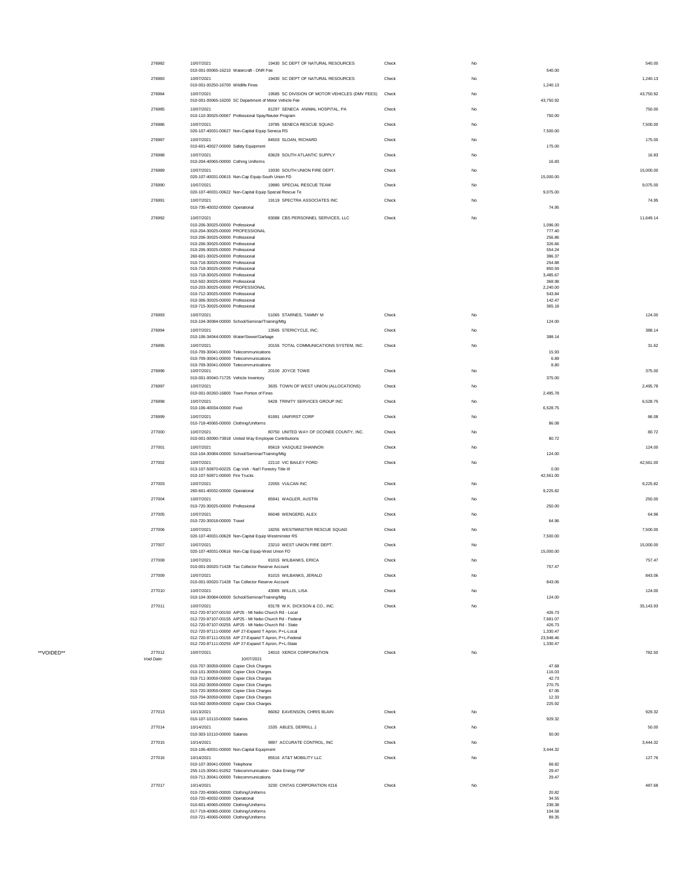| 276982     | 10/07/2021<br>19430 SC DEPT OF NATURAL RESOURCES<br>010-001-00065-16210 Watercraft - DNR Fee                      | Check | No          | 540.00                    | 540.00    |
|------------|-------------------------------------------------------------------------------------------------------------------|-------|-------------|---------------------------|-----------|
| 276983     | 10/07/2021<br>19430 SC DEPT OF NATURAL RESOURCES                                                                  | Check | No          |                           | 1,240.13  |
|            | 010-001-00250-16700 Wildlife Fines<br>19585 SC DIVISION OF MOTOR VEHICLES (DMV FEES)                              |       | No          | 1,240.13                  |           |
| 276984     | 10/07/2021<br>010-001-00065-16200 SC Department of Motor Vehicle Fee                                              | Check |             | 43,750.92                 | 43,750.92 |
| 276985     | 10/07/2021<br>81297 SENECA ANIMAL HOSPITAL, PA<br>010-110-30025-00067 Professional Spay/Neuter Program            | Check | $_{\rm No}$ | 750.00                    | 750.00    |
| 276986     | 19785 SENECA RESCUE SQUAD<br>10/07/2021                                                                           | Check | No          |                           | 7.500.00  |
| 276987     | 020-107-40031-00627 Non-Capital Equip Seneca RS<br>84503 SLOAN, RICHARD<br>10/07/2021                             | Check | No          | 7.500.00                  | 175.00    |
|            | 010-601-40027-00000 Safety Equipment                                                                              |       |             | 175.00                    |           |
| 276988     | 10/07/2021<br>83629 SOUTH ATLANTIC SUPPLY<br>010-204-40065-00000 Cothing Uniforms                                 | Check | No          | 16.83                     | 16.83     |
| 276989     | 10/07/2021<br>19330 SOUTH UNION FIRE DEPT.<br>020-107-40031-00615 Non-Cap Equip-South Union FD                    | Check | No          | 15,000.00                 | 15,000.00 |
| 276990     | 10/07/2021<br>19980 SPECIAL RESCUE TEAM                                                                           | Check | No          |                           | 9,075.00  |
| 276991     | 020-107-40031-00622 Non-Capital Equip Special Rescue Te<br>10/07/2021<br>19119 SPECTRA ASSOCIATES INC             | Check | No          | 9,075.00                  | 74.95     |
|            | 010-735-40032-00000 Operational                                                                                   |       |             | 74.95                     |           |
| 276992     | 83088 CBS PERSONNEL SERVICES, LLC<br>10/07/2021<br>010-206-30025-00000 Professional                               | Check | No          | 1.096.00                  | 11.649.14 |
|            | 010-204-30025-00000 PROFESSIONAL<br>010-206-30025-00000 Professional                                              |       |             | 777.40<br>256.86          |           |
|            | 010-206-30025-00000 Professional<br>010-206-30025-00000 Professional                                              |       |             | 326.66<br>554.24          |           |
|            | 260-601-30025-00000 Professional                                                                                  |       |             | 386.37                    |           |
|            | 010-718-30025-00000 Professional<br>010-718-30025-00000 Professional                                              |       |             | 254.88<br>850.59          |           |
|            | 010-718-30025-00000 Professional<br>010-502-30025-00000 Professional                                              |       |             | 3.485.67<br>368.98        |           |
|            | 010-203-30025-00000 PROFESSIONAL<br>010-712-30025-00000 Professional                                              |       |             | 2,240.00<br>543.84        |           |
|            | 010-306-30025-00000 Professional<br>010-715-30025-00000 Professional                                              |       |             | 142.47<br>365.18          |           |
| 276993     | 51065 STARNES, TAMMY M<br>10/07/2021                                                                              | Check | No          |                           | 124.00    |
|            | 010-104-30084-00000 School/Seminar/Training/Mtg                                                                   |       |             | 124.00                    |           |
| 276994     | 13565 STERICYCLE, INC.<br>10/07/2021<br>010-106-34044-00000 Water/Sewer/Garbage                                   | Check | No          | 388.14                    | 388.14    |
| 276995     | 20155 TOTAL COMMUNICATIONS SYSTEM, INC.<br>10/07/2021<br>010-709-30041-00000 Telecommunications                   | Check | No          | 15.93                     | 31.62     |
|            | 010-709-30041-00000 Telecommunications                                                                            |       |             | 6.89                      |           |
| 276996     | 010-709-30041-00000 Telecommunications<br>20100 JOYCE TOWE<br>10/07/2021                                          | Check | No          | 8.80                      | 375.00    |
| 276997     | 010-001-00040-71725 Vehicle Inventory<br>3635 TOWN OF WEST UNION (ALLOCATIONS)<br>10/07/2021                      | Check | $_{\rm No}$ | 375.00                    | 2,495.78  |
|            | 010-001-00260-16800 Town Portion of Fines                                                                         |       |             | 2,495.78                  |           |
| 276998     | 9428 TRINITY SERVICES GROUP INC<br>10/07/2021<br>010-106-40034-00000 Food                                         | Check | No          | 6,528.75                  | 6,528.75  |
| 276999     | 81991 UNIFIRST CORP<br>10/07/2021                                                                                 | Check | No          |                           | 86.08     |
| 277000     | 010-718-40065-00000 Clothing/Uniforms<br>80750 UNITED WAY OF OCONEE COUNTY, INC.<br>10/07/2021                    | Check | No          | 86.08                     | 80.72     |
|            | 010-001-00090-73918 United Way Employee Contributions                                                             |       |             | 80.72                     |           |
| 277001     | 85619 VASQUEZ SHANNON<br>10/07/2021<br>010-104-30084-00000 School/Seminar/Training/Mtg                            | Check | No          | 124.00                    | 124.00    |
| 277002     | 10/07/2021<br>22110 VIC BAILEY FORD<br>013-107-50870-60225 Cap Veh - Nat'l Forestry Title III                     | Check | No          | 0.00                      | 42.561.00 |
|            | 010-107-50871-00000 Fire Trucks                                                                                   |       |             | 42,561.00                 |           |
| 277003     | 22055 VULCAN INC<br>10/07/2021<br>260-601-40032-00000 Operational                                                 | Check | No          | 9,225.82                  | 9 225 82  |
| 277004     | 10/07/2021<br>85941 WAGLER, AUSTIN                                                                                | Check | No          |                           | 250.00    |
| 277005     | 010-720-30025-00000 Professional<br>10/07/2021<br>86048 WENGERD, ALEX                                             | Check | No          | 250.00                    | 64.96     |
|            | 010-720-30018-00000 Travel                                                                                        |       |             | 64.96                     |           |
| 277006     | 10/07/2021<br>18255 WESTMINSTER RESCUE SQUAD<br>020-107-40031-00629 Non-Capital Equip Westminster RS              | Check | No          | 7,500.00                  | 7,500.00  |
| 277007     | 23210 WEST UNION FIRE DEPT.<br>10/07/2021<br>020-107-40031-00616 Non-Cap Equip-West Union FD                      | Check | No          | 15,000.00                 | 15,000.00 |
| 277008     | 10/07/2021<br>81015 WILBANKS, ERICA                                                                               | Check | Na          |                           | 757.47    |
| 277009     | 010-001-00020-71428 Tax Collector Reserve Account<br>81015 WILBANKS, JERALD<br>10/07/2021                         | Check | No          | 757.47                    | 843.06    |
|            | 010-001-00020-71428 Tax Collector Reserve Account                                                                 |       |             | 843.06                    |           |
| 277010     | 43065 WILLIS, LISA<br>10/07/2021<br>010-104-30084-00000 School/Seminar/Training/Mtg                               | Check | No          | 124.00                    | 124.00    |
| 277011     | 10/07/2021<br>83178 W.K. DICKSON & CO., INC.                                                                      | Check | No          |                           | 35.143.93 |
|            | 012-720-97107-00150 AIP25 - Mt Nebo Church Rd - Local<br>012-720-97107-00155 AIP25 - Mt Nebo Church Rd - Federal  |       |             | 426.73<br>7,681.07        |           |
|            | 012-720-97107-00255 AIP25 - Mt Nebo Church Rd - State<br>012-720-97111-00000 AIP 27-Expand T Apron, P+L-Local     |       |             | 426.73<br>1,330.47        |           |
|            | 012-720-97111-00155 AIP 27-Expand T Apron, P+L-Federal<br>012-720-97111-00255 AIP 27-Expand T Apron, P+L-State    |       |             | 23,948.46<br>1,330.47     |           |
| 277012     | 10/07/2021<br>24010 XEROX CORPORATION                                                                             | Check | No          |                           | 782.50    |
| Void Date: | 10/07/2021<br>010-707-30059-00000 Copier Click Charges                                                            |       |             | 47.68                     |           |
|            | 010-101-30059-00000 Copier Click Charges<br>010-711-30059-00000 Copier Click Charges                              |       |             | 116.03<br>42.73           |           |
|            | 010-202-30059-00000 Copier Click Charges                                                                          |       |             | 270.75<br>67.06           |           |
|            | 010-720-30059-00000 Copier Click Charges                                                                          |       |             |                           |           |
|            | 010-704-30059-00000 Copier Click Charges<br>010-502-30059-00000 Copier Click Charges                              |       |             | 12.33<br>225.92           |           |
| 277013     | 10/13/2021<br>86062 EAVENSON, CHRIS BLAIN                                                                         | Check | No          |                           | 929.32    |
| 277014     | 010-107-10110-00000 Salaries<br>1535 ABLES, DERRILL J.<br>10/14/2021                                              | Check | No          | 929.32                    | 50.00     |
|            | 010-303-10110-00000 Salaries                                                                                      |       |             | 50.00                     |           |
| 277015     | 10/14/2021<br>9897 ACCURATE CONTROL, INC<br>010-106-40031-00000 Non-Capital Equipment                             | Check | No          | 3,444.32                  | 3.444.32  |
| 277016     | 85516 AT&T MOBILITY LLC<br>10/14/2021                                                                             | Check | No          |                           | 127.76    |
|            | 010-107-30041-00000 Telephone<br>255-115-30041-91052 Telecommunication - Duke Energy FNF                          |       |             | 68.82<br>29.47            |           |
| 277017     | 010-711-30041-00000 Telecommunications<br>3230 CINTAS CORPORATION #216<br>10/14/2021                              | Check | No          | 29.47                     | 487.68    |
|            | 010-720-40065-00000 Clothing/Uniforms                                                                             |       |             | 20.82                     |           |
|            | 010-720-40032-00000 Operational<br>010-601-40065-00000 Clothing/Uniforms<br>017-719-40065-00000 Clothing/Uniforms |       |             | 34.55<br>238.38<br>104.58 |           |

\*\*VOIDED\*\*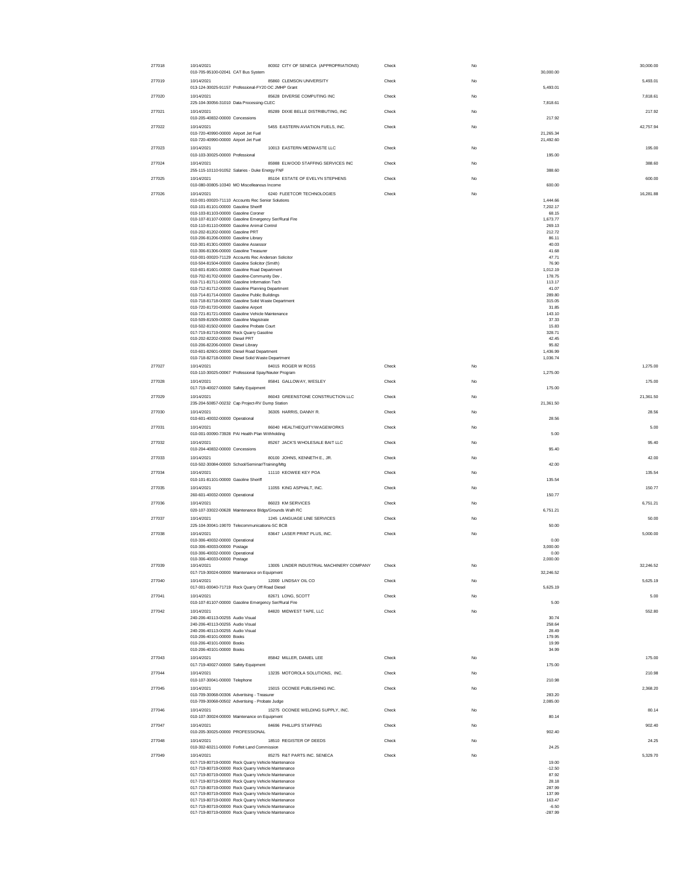| 277018 | 10/14/2021                                                                                                 | 80302 CITY OF SENECA (APPROPRIATIONS)     | Check | No |                        | 30,000.00 |
|--------|------------------------------------------------------------------------------------------------------------|-------------------------------------------|-------|----|------------------------|-----------|
| 277019 | 010-705-95100-02041 CAT Bus System<br>10/14/2021                                                           | 85860 CLEMSON UNIVERSITY                  | Check | No | 30,000.00              | 5,493.01  |
|        | 013-124-30025-91157 Professional-FY20 OC JMHP Grant                                                        |                                           |       |    | 5,493.01               |           |
| 277020 | 10/14/2021<br>225-104-30056-31010 Data Processing-CLEC                                                     | 85628 DIVERSE COMPUTING INC               | Check | No | 7,818.61               | 7,818.61  |
| 277021 | 10/14/2021                                                                                                 | 85289 DIXIE BELLE DISTRIBUTING, INC       | Check | No |                        | 217.92    |
|        | 010-205-40832-00000 Concessions                                                                            |                                           |       |    | 217.92                 |           |
| 277022 | 10/14/2021                                                                                                 | 5455 EASTERN AVIATION FUELS, INC.         | Check | No |                        | 42,757.94 |
|        | 010-720-40990-00000 Airport Jet Fuel<br>010-720-40990-00000 Airport Jet Fuel                               |                                           |       |    | 21,265.34<br>21,492.60 |           |
| 277023 | 10/14/2021                                                                                                 | 10013 EASTERN MEDWASTE LLC                | Check | No |                        | 195.00    |
| 277024 | 010-103-30025-00000 Professional<br>10/14/2021                                                             | 85988 ELWOOD STAFFING SERVICES INC        | Check | No | 195.00                 | 388.60    |
|        | 255-115-10110-91052 Salaries - Duke Energy FNF                                                             |                                           |       |    | 388.60                 |           |
| 277025 | 10/14/2021                                                                                                 | 85104 ESTATE OF EVELYN STEPHENS           | Check | No |                        | 600.00    |
| 277026 | 010-080-00805-10340 MO Miscelleanous Income<br>10/14/2021                                                  | 6240 FLEETCOR TECHNOLOGIES                | Check | No | 600.00                 | 16 281 88 |
|        | 010-001-00020-71110 Accounts Rec Senior Solutions                                                          |                                           |       |    | 1.444.66               |           |
|        | 010-101-81101-00000 Gasoline Sheriff<br>010-103-81103-00000 Gasoline Coroner                               |                                           |       |    | 7,202.17<br>68.15      |           |
|        | 010-107-81107-00000 Gasoline Emergency Ser/Rural Fire                                                      |                                           |       |    | 1,673.77               |           |
|        | 010-110-81110-00000 Gasoline Animal Control<br>010-202-81202-00000 Gasoline PRT                            |                                           |       |    | 269.13<br>212.72       |           |
|        | 010-206-81206-00000 Gasoline Library                                                                       |                                           |       |    | 86.11<br>40.03         |           |
|        | 010-301-81301-00000 Gasoline Assessor<br>010-306-81306-00000 Gasoline Treasurer                            |                                           |       |    | 41.68                  |           |
|        | 010-001-00020-71129 Accounts Rec Anderson Solicitor<br>010-504-81504-00000 Gasoline Solicitor (Smith)      |                                           |       |    | 47.71<br>76.90         |           |
|        | 010-601-81601-00000 Gasoline Road Department                                                               |                                           |       |    | 1,012.19               |           |
|        | 010-702-81702-00000 Gasoline-Community Dev.<br>010-711-81711-00000 Gasoline Information Tech               |                                           |       |    | 178.75<br>113.17       |           |
|        | 010-712-81712-00000 Gasoline Planning Department<br>010-714-81714-00000 Gasoline Public Buildings          |                                           |       |    | 41.07<br>289.80        |           |
|        | 010-718-81718-00000 Gasoline Solid Waste Department                                                        |                                           |       |    | 315.05                 |           |
|        | 010-720-81720-00000 Gasoline Airport<br>010-721-81721-00000 Gasoline Vehicle Maintenance                   |                                           |       |    | 31.85<br>143.10        |           |
|        | 010-509-81509-00000 Gasoline Magistrate                                                                    |                                           |       |    | 37.33                  |           |
|        | 010-502-81502-00000 Gasoline Probate Court<br>017-719-81719-00000 Rock Quarry Gasoline                     |                                           |       |    | 15.83<br>328.71        |           |
|        | 010-202-82202-00000 Diesel PRT<br>010-206-82206-00000 Diesel Library                                       |                                           |       |    | 42.45<br>95.82         |           |
|        | 010-601-82601-00000 Diesel Road Department                                                                 |                                           |       |    | 1,436.99               |           |
|        | 010-718-82718-00000 Diesel Solid Waste Department                                                          |                                           |       |    | 1,036.74               |           |
| 277027 | 10/14/2021<br>010-110-30025-00067 Professional Spay/Neuter Program                                         | 84015 ROGER W ROSS                        | Check | No | 1,275.00               | 1,275.00  |
| 277028 | 10/14/2021                                                                                                 | 85841 GALLOWAY, WESLEY                    | Check | No |                        | 175.00    |
| 277029 | 017-719-40027-00000 Safety Equipment<br>10/14/2021                                                         | 86043 GREENSTONE CONSTRUCTION LLC         | Check | No | 175.00                 | 21,361.50 |
|        | 235-204-50857-00232 Cap Project-RV Dump Station                                                            |                                           |       |    | 21,361.50              |           |
| 277030 | 10/14/2021                                                                                                 | 36305 HARRIS, DANNY R.                    | Check | No |                        | 28.56     |
|        | 010-601-40032-00000 Operational                                                                            |                                           |       |    |                        |           |
|        |                                                                                                            |                                           |       |    | 28.56                  |           |
| 277031 | 10/14/2021<br>010-001-00090-73928 PAI Health Plan Withholding                                              | 86040 HEALTHEQUITY/WAGEWORKS              | Check | No | 5.00                   | 5.00      |
| 277032 | 10/14/2021                                                                                                 | 85267 JACK'S WHOLESALE BAIT LLC           | Check | No |                        | 95.40     |
|        | 010-204-40832-00000 Concessions                                                                            |                                           |       |    | 95.40                  |           |
| 277033 | 10/14/2021<br>010-502-30084-00000 School/Seminar/Training/Mtg                                              | 80100 JOHNS, KENNETH E., JR               | Check | No | 42.00                  | 42.00     |
| 277034 | 10/14/2021                                                                                                 | 11110 KEOWEE KEY POA                      | Check | No |                        | 135.54    |
|        | 010-101-81101-00000 Gasoline Sheriff                                                                       |                                           |       |    | 135.54                 |           |
| 277035 | 10/14/2021<br>260-601-40032-00000 Operational                                                              | 11055 KING ASPHALT, INC.                  | Check | No | 150.77                 | 150.77    |
| 277036 | 10/14/2021                                                                                                 | 86023 KM SERVICES                         | Check | No |                        | 6,751.21  |
|        | 020-107-33022-00628 Maintenance Bldgs/Grounds Walh RC                                                      |                                           |       |    | 6,751.21               |           |
| 277037 | 10/14/2021<br>225-104-30041-19070 Telecommunications-SC BCB                                                | 1245 LANGUAGE LINE SERVICES               | Check | No | 50.00                  | 50.00     |
| 277038 | 10/14/2021                                                                                                 | 83647 LASER PRINT PLUS, INC.              | Check | No |                        | 5,000.00  |
|        | 010-306-40032-00000 Operational<br>010-306-40033-00000 Postage                                             |                                           |       |    | 0.00<br>3,000.00       |           |
|        | 010-306-40032-00000 Operational<br>010-306-40033-00000 Postage                                             |                                           |       |    | 0.00<br>2,000.00       |           |
| 277039 | 10/14/2021                                                                                                 | 13005 LINDER INDUSTRIAL MACHINERY COMPANY | Check | No |                        | 32,246.52 |
|        | 017-719-30024-00000 Maintenance on Equipment                                                               |                                           |       |    | 32,246.52              |           |
| 277040 | 10/14/2021<br>017-001-00040-71719 Rock Quarry Off Road Diesel                                              | 12000 LINDSAY OIL CO                      | Check | No | 5,625.19               | 5,625.19  |
| 277041 | 10/14/2021                                                                                                 | 82671 LONG, SCOTT                         | Check | No |                        | 5.00      |
| 277042 | 010-107-81107-00000 Gasoline Emergency Ser/Rural Fire<br>10/14/2021                                        | 84820 MIDWEST TAPE, LLC                   | Check | No | 5.00                   | 552.80    |
|        | 240-206-40113-00255 Audio Visual                                                                           |                                           |       |    | 30.74                  |           |
|        | 240-206-40113-00255 Audio Visual<br>240-206-40113-00255 Audio Visual                                       |                                           |       |    | 258.64<br>28.49        |           |
|        | 010-206-40101-00000 Books                                                                                  |                                           |       |    | 179.95                 |           |
|        | 010-206-40101-00000 Books<br>010-206-40101-00000 Books                                                     |                                           |       |    | 19.99<br>34.99         |           |
| 277043 | 10/14/2021                                                                                                 | 85842 MILLER, DANIEL LEE                  | Check | No |                        | 175.00    |
| 277044 | 017-719-40027-00000 Safety Equipment<br>10/14/2021                                                         | 13235 MOTOROLA SOLUTIONS, INC.            | Check | No | 175.00                 | 210.98    |
|        | 010-107-30041-00000 Telephone                                                                              |                                           |       |    | 210.98                 |           |
| 277045 | 10/14/2021                                                                                                 | 15015 OCONEE PUBLISHING INC.              | Check | No |                        | 2.368.20  |
|        | 010-709-30068-00306 Advertising - Treasurer<br>010-709-30068-00502 Advertising - Probate Judge             |                                           |       |    | 283.20<br>2,085.00     |           |
| 277046 | 10/14/2021                                                                                                 | 15275 OCONEE WELDING SUPPLY, INC.         | Check | No |                        | 80.14     |
| 277047 | 010-107-30024-00000 Maintenance on Equipment<br>10/14/2021                                                 | 84696 PHILLIPS STAFFING                   | Check | No | 80.14                  | 902.40    |
|        | 010-205-30025-00000 PROFESSIONAL                                                                           |                                           |       |    | 902.40                 |           |
| 277048 | 10/14/2021                                                                                                 | 18510 REGISTER OF DEEDS                   | Check | No |                        | 24.25     |
| 277049 | 010-302-60211-00000 Forfeit Land Commission<br>10/14/2021                                                  | 85275 R&T PARTS INC. SENECA               | Check | No | 24.25                  | 5,329.70  |
|        | 017-719-80719-00000 Rock Quarry Vehicle Maintenance                                                        |                                           |       |    | 19.00                  |           |
|        | 017-719-80719-00000 Rock Quarry Vehicle Maintenance<br>017-719-80719-00000 Rock Quarry Vehicle Maintenance |                                           |       |    | $-12.50$<br>87.92      |           |
|        | 017-719-80719-00000 Rock Quarry Vehicle Maintenance                                                        |                                           |       |    | 28.18                  |           |
|        | 017-719-80719-00000 Rock Quarry Vehicle Maintenance<br>017-719-80719-00000 Rock Quarry Vehicle Maintenance |                                           |       |    | 287.99<br>137.99       |           |
|        | 017-719-80719-00000 Rock Quarry Vehicle Maintenance<br>017-719-80719-00000 Rock Quarry Vehicle Maintenance |                                           |       |    | 163.47<br>$-6.50$      |           |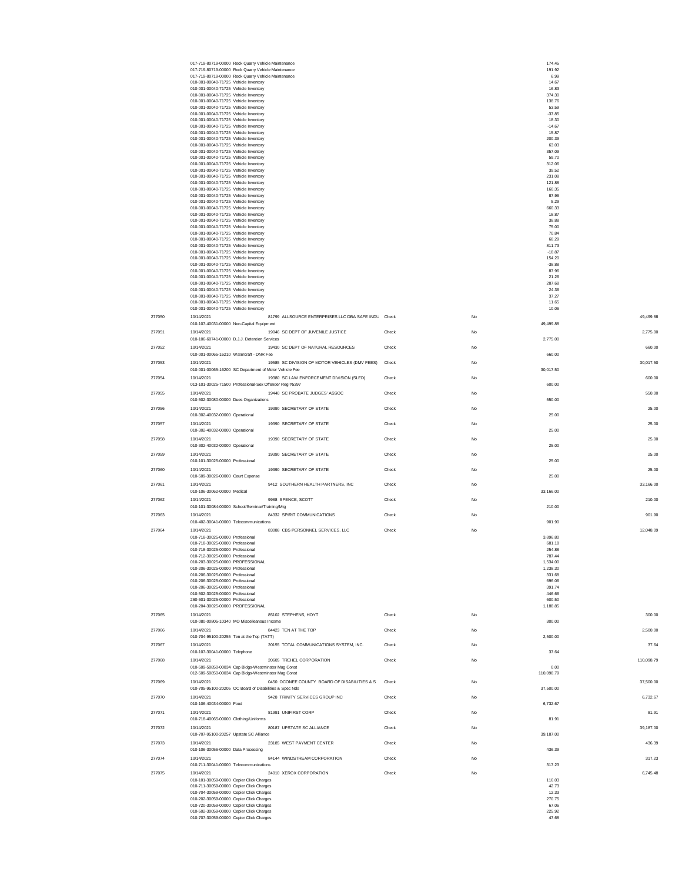|        | 017-719-80719-00000 Rock Quarry Vehicle Maintenance                                                               |       |             | 174.45             |            |
|--------|-------------------------------------------------------------------------------------------------------------------|-------|-------------|--------------------|------------|
|        | 017-719-80719-00000 Rock Quarry Vehicle Maintenance<br>017-719-80719-00000 Rock Quarry Vehicle Maintenance        |       |             | 191.92<br>6.99     |            |
|        | 010-001-00040-71725 Vehicle Inventory                                                                             |       |             | 14.67              |            |
|        | 010-001-00040-71725 Vehicle Inventory<br>010-001-00040-71725 Vehicle Inventory                                    |       |             | 16.83<br>374.30    |            |
|        | 010-001-00040-71725 Vehicle Inventory                                                                             |       |             | 138.76             |            |
|        | 010-001-00040-71725 Vehicle Inventory<br>010-001-00040-71725 Vehicle Inventory                                    |       |             | 53.59<br>$-37.85$  |            |
|        | 010-001-00040-71725 Vehicle Inventory                                                                             |       |             | 18.30              |            |
|        | 010-001-00040-71725 Vehicle Inventory<br>010-001-00040-71725 Vehicle Inventory                                    |       |             | $-14.67$<br>15.87  |            |
|        | 010-001-00040-71725 Vehicle Inventory                                                                             |       |             | 200.39             |            |
|        | 010-001-00040-71725 Vehicle Inventory<br>010-001-00040-71725 Vehicle Inventory                                    |       |             | 63.03<br>357.09    |            |
|        | 010-001-00040-71725 Vehicle Inventory                                                                             |       |             | 59.70              |            |
|        | 010-001-00040-71725 Vehicle Inventory                                                                             |       |             | 312.06             |            |
|        | 010-001-00040-71725 Vehicle Inventory<br>010-001-00040-71725 Vehicle Inventory                                    |       |             | 39.52<br>231.08    |            |
|        | 010-001-00040-71725 Vehicle Inventory                                                                             |       |             | 121.88             |            |
|        | 010-001-00040-71725 Vehicle Inventory<br>010-001-00040-71725 Vehicle Inventory                                    |       |             | 160.35<br>87.96    |            |
|        | 010-001-00040-71725 Vehicle Inventory                                                                             |       |             | 5.29               |            |
|        | 010-001-00040-71725 Vehicle Inventory<br>010-001-00040-71725 Vehicle Inventory                                    |       |             | 660.33<br>18.87    |            |
|        | 010-001-00040-71725 Vehicle Inventory                                                                             |       |             | 38.88              |            |
|        | 010-001-00040-71725 Vehicle Inventory                                                                             |       |             | 75.00              |            |
|        | 010-001-00040-71725 Vehicle Inventory<br>010-001-00040-71725 Vehicle Inventory                                    |       |             | 70.84<br>68.29     |            |
|        | 010-001-00040-71725 Vehicle Inventory                                                                             |       |             | 811.73             |            |
|        | 010-001-00040-71725 Vehicle Inventory<br>010-001-00040-71725 Vehicle Inventory                                    |       |             | $-18.87$<br>154.20 |            |
|        | 010-001-00040-71725 Vehicle Inventory                                                                             |       |             | $-38.88$           |            |
|        | 010-001-00040-71725 Vehicle Inventory<br>010-001-00040-71725 Vehicle Inventory                                    |       |             | 87.96<br>21.26     |            |
|        | 010-001-00040-71725 Vehicle Inventory                                                                             |       |             | 287.68             |            |
|        | 010-001-00040-71725 Vehicle Inventory<br>010-001-00040-71725 Vehicle Inventory                                    |       |             | 24.36<br>37.27     |            |
|        | 010-001-00040-71725 Vehicle Inventory                                                                             |       |             | 11.65              |            |
|        | 010-001-00040-71725 Vehicle Inventory                                                                             |       |             | 10.06              |            |
| 277050 | 81799 ALLSOURCE ENTERPRISES LLC DBA SAFE INDL Check<br>10/14/2021                                                 |       | <b>No</b>   |                    | 49,499.88  |
|        | 010-107-40031-00000 Non-Capital Equipment                                                                         |       |             | 49,499.88          |            |
| 277051 | 10/14/2021<br>19046 SC DEPT OF JUVENILE JUSTICE<br>010-106-60741-00000 D.J.J. Detention Services                  | Check | <b>No</b>   | 2,775.00           | 2,775.00   |
| 277052 | 10/14/2021<br>19430 SC DEPT OF NATURAL RESOURCES                                                                  | Check | No          |                    | 660.00     |
|        | 010-001-00065-16210 Watercraft - DNR Fee                                                                          |       |             | 660.00             |            |
| 277053 | 10/14/2021<br>19585 SC DIVISION OF MOTOR VEHICLES (DMV FEES)                                                      | Check | $_{\rm No}$ |                    | 30,017.50  |
|        | 010-001-00065-16200 SC Department of Motor Vehicle Fee                                                            |       |             | 30,017.50          |            |
| 277054 | 10/14/2021<br>19380 SC LAW ENFORCEMENT DIVISION (SLED)<br>013-101-30025-71500 Professional-Sex Offender Reg #5397 | Check | No          | 600.00             | 600.00     |
| 277055 | 10/14/2021<br>19440 SC PROBATE JUDGES' ASSOC                                                                      | Check | No          |                    | 550.00     |
|        | 010-502-30080-00000 Dues Organizations                                                                            |       |             | 550.00             |            |
| 277056 | 10/14/2021<br>19390 SECRETARY OF STATE                                                                            | Check | <b>No</b>   |                    | 25.00      |
|        | 010-302-40032-00000 Operational                                                                                   |       |             | 25.00              |            |
| 277057 | 19390 SECRETARY OF STATE<br>10/14/2021<br>010-302-40032-00000 Operational                                         | Check | <b>No</b>   | 25.00              | 25.00      |
| 277058 | 19390 SECRETARY OF STATE<br>10/14/2021                                                                            | Check | No          |                    | 25.00      |
|        | 010-302-40032-00000 Operational                                                                                   |       |             | 25.00              |            |
| 277059 | 19390 SECRETARY OF STATE<br>10/14/2021                                                                            | Check | <b>No</b>   |                    | 25.00      |
|        | 010-101-30025-00000 Professional                                                                                  |       |             | 25.00              |            |
| 277060 | 10/14/2021<br>19390 SECRETARY OF STATE<br>010-509-30026-00000 Court Expense                                       | Check | No          | 25.00              | 25.00      |
| 277061 | 10/14/2021<br>9412 SOUTHERN HEALTH PARTNERS, INC                                                                  | Check | No          |                    | 33,166.00  |
|        | 010-106-30062-00000 Medical                                                                                       |       |             | 33,166.00          |            |
| 277062 | 10/14/2021<br>9988 SPENCE, SCOTT                                                                                  | Check | No          |                    | 210.00     |
|        | 010-101-30084-00000 School/Seminar/Training/Mtg                                                                   |       |             | 210.00             |            |
| 277063 | 84332 SPIRIT COMMUNICATIONS<br>10/14/2021<br>010-402-30041-00000 Telecommunications                               | Check | No          | 901.90             | 901.90     |
| 277064 | 83088 CBS PERSONNEL SERVICES, LLC<br>10/14/2021                                                                   | Check | <b>No</b>   |                    | 12,048.09  |
|        | 010-718-30025-00000 Professional                                                                                  |       |             | 3,896.80           |            |
|        | 010-718-30025-00000 Professional                                                                                  |       |             | 681.18             |            |
|        | 010-718-30025-00000 Professional<br>010-712-30025-00000 Professional                                              |       |             | 254.88<br>787.44   |            |
|        | 010-203-30025-00000 PROFESSIONAL                                                                                  |       |             | 1.534.00           |            |
|        | 010-206-30025-00000 Professional<br>010-206-30025-00000 Professional                                              |       |             | 1,238.30<br>331.68 |            |
|        | 010-206-30025-00000 Professional                                                                                  |       |             | 696.06             |            |
|        | 010-206-30025-00000 Professional<br>010-502-30025-00000 Professional                                              |       |             | 391.74<br>446.66   |            |
|        | 260-601-30025-00000 Professional                                                                                  |       |             | 600.50             |            |
|        | 010-204-30025-00000 PROFESSIONAL                                                                                  |       |             | 1,188.85           |            |
| 277065 | 10/14/2021<br>85102 STEPHENS, HOYT                                                                                | Check | No          |                    | 300.00     |
| 277066 | 010-080-00805-10340 MO Miscelleanous Income<br>10/14/2021<br>84423 TEN AT THE TOP                                 | Check | No          | 300.00             | 2,500.00   |
|        | 010-704-95100-20255 Ten at the Top (TATT)                                                                         |       |             | 2,500.00           |            |
| 277067 | 20155 TOTAL COMMUNICATIONS SYSTEM, INC.<br>10/14/2021                                                             | Check | No          |                    | 37.64      |
|        | 010-107-30041-00000 Telephone                                                                                     |       |             | 37.64              |            |
| 277068 | 20605 TREHEL CORPORATION<br>10/14/2021<br>010-509-50850-00034 Cap Bldgs-Westminster Mag Const                     | Check | No          |                    | 110,098.79 |
|        | 012-509-50850-00034 Cap Bldgs-Westminster Mag Const                                                               |       |             | 0.00<br>110,098.79 |            |
| 277069 | 0450 OCONEE COUNTY BOARD OF DISABILITIES & S<br>10/14/2021                                                        | Check | No          |                    | 37,500.00  |
|        | 010-705-95100-20205 OC Board of Disabilities & Spec Nds                                                           |       |             | 37,500.00          |            |
| 277070 | 9428 TRINITY SERVICES GROUP INC<br>10/14/2021                                                                     | Check | No          |                    | 6,732.67   |
|        | 010-106-40034-00000 Food<br>81991 UNIFIRST CORP                                                                   |       |             | 6,732.67           | 81.91      |
| 277071 | 10/14/2021<br>010-718-40065-00000 Clothing/Uniforms                                                               | Check | No          | 81.91              |            |
| 277072 | 80187 UPSTATE SC ALLIANCE<br>10/14/2021                                                                           | Check | No          |                    | 39,187.00  |
|        | 010-707-95100-20257 Upstate SC Alliance                                                                           |       |             | 39,187.00          |            |
| 277073 | 10/14/2021<br>23185 WEST PAYMENT CENTER                                                                           | Check | No          |                    | 436.39     |
|        | 010-106-30056-00000 Data Processing                                                                               |       |             | 436.39             |            |
| 277074 | 84144 WINDSTREAM CORPORATION<br>10/14/2021<br>010-711-30041-00000 Telecommunications                              | Check | <b>No</b>   | 317.23             | 317.23     |
| 277075 | 10/14/2021<br>24010 XEROX CORPORATION                                                                             | Check | No          |                    | 6,745.48   |
|        | 010-101-30059-00000 Copier Click Charges                                                                          |       |             | 116.03             |            |
|        | 010-711-30059-00000 Copier Click Charges<br>010-704-30059-00000 Copier Click Charges                              |       |             | 42.73<br>12.33     |            |
|        | 010-202-30059-00000 Copier Click Charges                                                                          |       |             | 270.75             |            |
|        | 010-720-30059-00000 Copier Click Charges                                                                          |       |             | 67.06              |            |
|        | 010-502-30059-00000 Copier Click Charges<br>010-707-30059-00000 Copier Click Charges                              |       |             | 225.92<br>47.68    |            |
|        |                                                                                                                   |       |             |                    |            |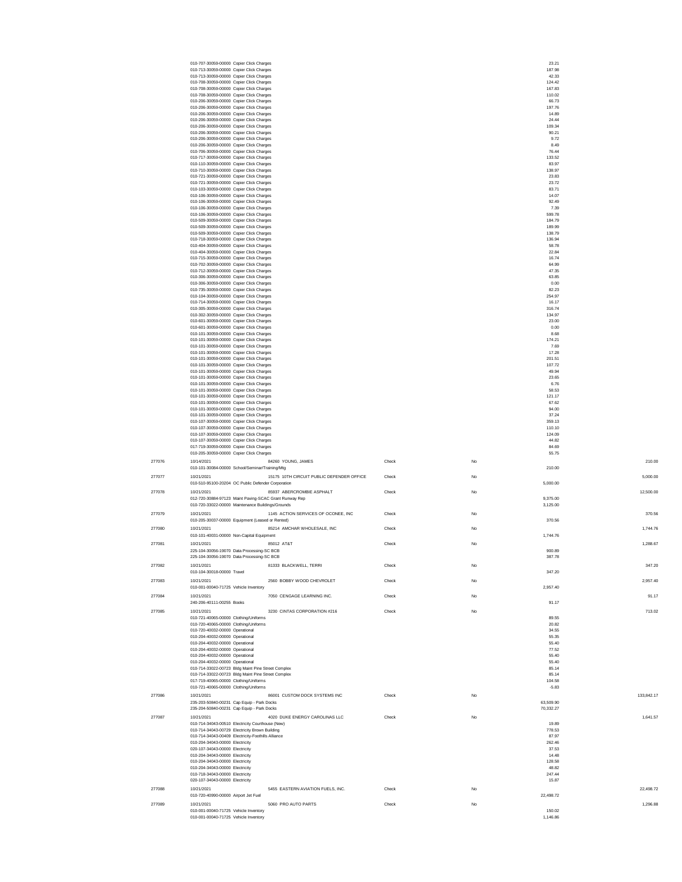|        | 010-707-30059-00000 Copier Click Charges                                                                      |       |           | 23.21            |            |
|--------|---------------------------------------------------------------------------------------------------------------|-------|-----------|------------------|------------|
|        | 010-713-30059-00000 Copier Click Charges<br>010-713-30059-00000 Copier Click Charges                          |       |           | 187.98<br>42.33  |            |
|        | 010-708-30059-00000 Copier Click Charges<br>010-708-30059-00000 Copier Click Charges                          |       |           | 124.42<br>167.83 |            |
|        | 010-708-30059-00000 Copier Click Charges                                                                      |       |           | 110.02           |            |
|        | 010-206-30059-00000 Copier Click Charges<br>010-206-30059-00000 Copier Click Charges                          |       |           | 66.73<br>197.76  |            |
|        | 010-206-30059-00000 Copier Click Charges                                                                      |       |           | 14.89            |            |
|        | 010-206-30059-00000 Copier Click Charges<br>010-206-30059-00000 Copier Click Charges                          |       |           | 24.44<br>109.34  |            |
|        | 010-206-30059-00000 Copier Click Charges                                                                      |       |           | 90.21            |            |
|        | 010-206-30059-00000 Copier Click Charges<br>010-206-30059-00000 Copier Click Charges                          |       |           | 9.72<br>8.49     |            |
|        | 010-706-30059-00000 Copier Click Charges<br>010-717-30059-00000 Copier Click Charges                          |       |           | 76.44<br>133.52  |            |
|        | 010-110-30059-00000 Copier Click Charges                                                                      |       |           | 83.97            |            |
|        | 010-710-30059-00000 Copier Click Charges<br>010-721-30059-00000 Copier Click Charges                          |       |           | 138.97<br>23.83  |            |
|        | 010-721-30059-00000 Copier Click Charges                                                                      |       |           | 23.72            |            |
|        | 010-103-30059-00000 Copier Click Charges<br>010-106-30059-00000 Copier Click Charges                          |       |           | 83.71<br>14.07   |            |
|        | 010-106-30059-00000 Copier Click Charges                                                                      |       |           | 92.49            |            |
|        | 010-106-30059-00000 Copier Click Charges<br>010-106-30059-00000 Copier Click Charges                          |       |           | 7.39<br>599.78   |            |
|        | 010-509-30059-00000 Copier Click Charges<br>010-509-30059-00000 Copier Click Charges                          |       |           | 184.79<br>189.99 |            |
|        | 010-509-30059-00000 Copier Click Charges                                                                      |       |           | 138.79           |            |
|        | 010-718-30059-00000 Copier Click Charges<br>010-404-30059-00000 Copier Click Charges                          |       |           | 136.94<br>58.78  |            |
|        | 010-404-30059-00000 Copier Click Charges                                                                      |       |           | 22.84            |            |
|        | 010-715-30059-00000 Copier Click Charges<br>010-702-30059-00000 Copier Click Charges                          |       |           | 16.74<br>64.99   |            |
|        | 010-712-30059-00000 Copier Click Charges                                                                      |       |           | 47.35            |            |
|        | 010-306-30059-00000 Copier Click Charges<br>010-306-30059-00000 Copier Click Charges                          |       |           | 63.85<br>0.00    |            |
|        | 010-735-30059-00000 Copier Click Charges<br>010-104-30059-00000 Copier Click Charges                          |       |           | 82.23<br>254.97  |            |
|        | 010-714-30059-00000 Copier Click Charges                                                                      |       |           | 16.17            |            |
|        | 010-305-30059-00000 Copier Click Charges<br>010-302-30059-00000 Copier Click Charges                          |       |           | 316.74<br>134.97 |            |
|        | 010-601-30059-00000 Copier Click Charges                                                                      |       |           | 23.00            |            |
|        | 010-601-30059-00000 Copier Click Charges<br>010-101-30059-00000 Copier Click Charges                          |       |           | 0.00<br>8.68     |            |
|        | 010-101-30059-00000 Copier Click Charges                                                                      |       |           | 174.21           |            |
|        | 010-101-30059-00000 Copier Click Charges<br>010-101-30059-00000 Copier Click Charges                          |       |           | 7.69<br>17.28    |            |
|        | 010-101-30059-00000 Copier Click Charges<br>010-101-30059-00000 Copier Click Charges                          |       |           | 201.51<br>107.72 |            |
|        | 010-101-30059-00000 Copier Click Charges                                                                      |       |           | 49.94            |            |
|        | 010-101-30059-00000 Copier Click Charges<br>010-101-30059-00000 Copier Click Charges                          |       |           | 23.65<br>6.76    |            |
|        | 010-101-30059-00000 Copier Click Charges                                                                      |       |           | 58.53            |            |
|        | 010-101-30059-00000 Copier Click Charges<br>010-101-30059-00000 Copier Click Charges                          |       |           | 121.17<br>67.62  |            |
|        | 010-101-30059-00000 Copier Click Charges                                                                      |       |           | 94.00            |            |
|        | 010-101-30059-00000 Copier Click Charges<br>010-107-30059-00000 Copier Click Charges                          |       |           | 37.24<br>359.13  |            |
|        | 010-107-30059-00000 Copier Click Charges<br>010-107-30059-00000 Copier Click Charges                          |       |           | 110.10<br>124.09 |            |
|        | 010-107-30059-00000 Copier Click Charges                                                                      |       |           | 44.82            |            |
|        | 017-719-30059-00000 Copier Click Charges<br>010-205-30059-00000 Copier Click Charges                          |       |           | 84.69<br>55.75   |            |
| 277076 | 84260 YOUNG, JAMES<br>10/14/2021                                                                              | Check | No        |                  | 210.00     |
|        | 010-101-30084-00000 School/Seminar/Training/Mtg                                                               |       |           | 210.00           |            |
| 277077 | 10/21/2021<br>15175 10TH CIRCUIT PUBLIC DEFENDER OFFICE<br>010-510-95100-20204 OC Public Defender Corporation | Check | No        | 5,000.00         | 5,000.00   |
| 277078 | 85937 ABERCROMBIE ASPHALT<br>10/21/2021                                                                       | Check | No        |                  | 12,500.00  |
|        | 012-720-30884-97123 Maint Paving-SCAC Grant Runway Rep                                                        |       |           | 9.375.00         |            |
|        | 010-720-33022-00000 Maintenance Buildings/Grounds                                                             |       |           | 3,125.00         |            |
| 277079 | 1145 ACTION SERVICES OF OCONEE, INC<br>10/21/2021<br>010-205-30037-00000 Equipment (Leased or Rented)         | Check | No        | 370.56           | 370.56     |
| 277080 | 10/21/2021<br>85214 AMCHAR WHOLESALE, INC                                                                     | Check | No        |                  | 1,744.76   |
|        | 010-101-40031-00000 Non-Capital Equipment                                                                     |       |           | 1,744.76         |            |
| 277081 | 10/21/2021<br>85012 AT&T<br>225-104-30056-19070 Data Processing-SC BCB                                        | Check | <b>No</b> | 900.89           | 1,288.67   |
|        | 225-104-30056-19070 Data Processing-SC BCB                                                                    |       |           | 387.78           |            |
| 277082 | 81333 BLACKWELL, TERRI<br>10/21/2021                                                                          | Check | No        |                  | 347.20     |
|        | 010-104-30018-00000 Travel<br>2560 BOBBY WOOD CHEVROLET                                                       | Check |           | 347.20           | 2.957.40   |
| 277083 | 10/21/2021<br>010-001-00040-71725 Vehicle Inventory                                                           |       | No        | 2,957.40         |            |
| 277084 | 10/21/2021<br>7050 CENGAGE LEARNING INC.                                                                      | Check | No        |                  | 91.17      |
|        | 240-206-40111-00255 Books                                                                                     |       |           | 91.17            |            |
| 277085 | 10/21/2021<br>3230 CINTAS CORPORATION #216<br>010-721-40065-00000 Clothing/Uniforms                           | Check | No        | 89.55            | 713.02     |
|        | 010-720-40065-00000 Clothing/Uniforms                                                                         |       |           | 20.82            |            |
|        | 010-720-40032-00000 Operational<br>010-204-40032-00000 Operational                                            |       |           | 34.55<br>55.35   |            |
|        | 010-204-40032-00000 Operational                                                                               |       |           | 55.40            |            |
|        | 010-204-40032-00000 Operational<br>010-204-40032-00000 Operational                                            |       |           | 77.52<br>55.40   |            |
|        | 010-204-40032-00000 Operational                                                                               |       |           | 55.40            |            |
|        | 010-714-33022-00723 Bldg Maint Pine Street Complex<br>010-714-33022-00723 Bldg Maint Pine Street Complex      |       |           | 85.14<br>85.14   |            |
|        | 017-719-40065-00000 Clothing/Uniforms                                                                         |       |           | 104.58           |            |
| 277086 | 010-721-40065-00000 Clothing/Uniforms<br>86001 CUSTOM DOCK SYSTEMS INC<br>10/21/2021                          | Check | No        | $-5.83$          | 133,842.17 |
|        | 235-203-50840-00231 Cap Equip - Park Docks                                                                    |       |           | 63.509.90        |            |
|        | 235-204-50840-00231 Cap Equip - Park Docks                                                                    |       |           | 70,332.27        |            |
| 277087 | 4020 DUKE ENERGY CAROLINAS LLC<br>10/21/2021<br>010-714-34043-00510 Electricity Courthouse (New)              | Check | No        | 19.89            | 1.641.57   |
|        | 010-714-34043-00729 Electricity Brown Building                                                                |       |           | 778.53           |            |
|        | 010-714-34043-00409 Electricity-Foothills Alliance<br>010-204-34043-00000 Electricity                         |       |           | 87.97<br>262.46  |            |
|        | 020-107-34043-00000 Electricity                                                                               |       |           | 37.53            |            |
|        | 010-204-34043-00000 Electricity<br>010-204-34043-00000 Electricity                                            |       |           | 14.48<br>128.58  |            |
|        | 010-204-34043-00000 Electricity<br>010-718-34043-00000 Electricity                                            |       |           | 48.82<br>247.44  |            |
|        | 020-107-34043-00000 Electricity                                                                               |       |           | 15.87            |            |
| 277088 | 5455 EASTERN AVIATION FUELS, INC.<br>10/21/2021                                                               | Check | No        |                  | 22.498.72  |
| 277089 | 010-720-40990-00000 Airport Jet Fuel<br>5060 PRO AUTO PARTS<br>10/21/2021                                     | Check | No        | 22,498.72        | 1,296.88   |
|        | 010-001-00040-71725 Vehicle Inventory                                                                         |       |           | 150.02           |            |
|        | 010-001-00040-71725 Vehicle Inventory                                                                         |       |           | 1,146.86         |            |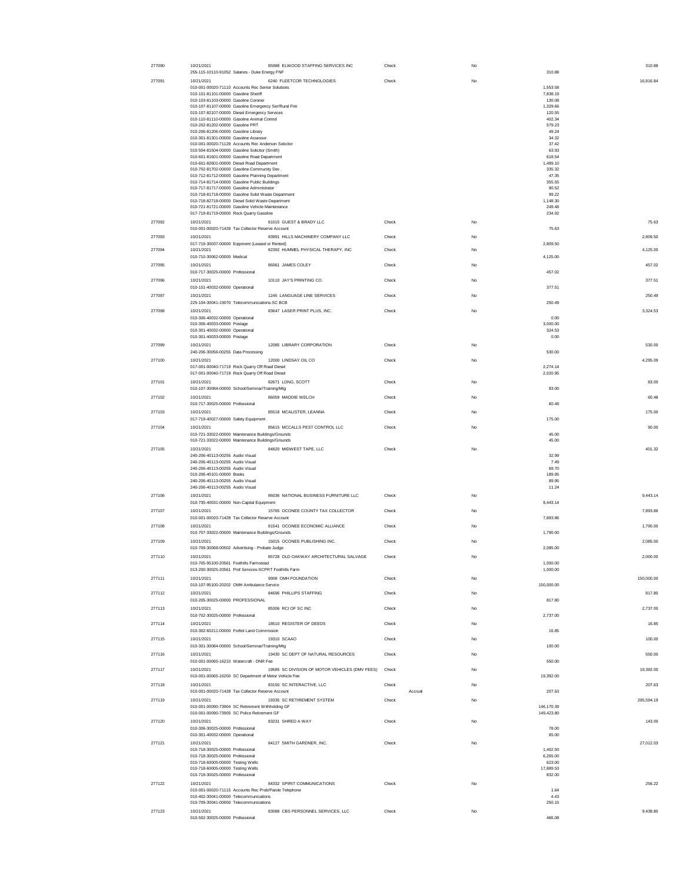| 277090 | 10/21/2021                                                                                            | 85988 ELWOOD STAFFING SERVICES INC             | Check            | No          | 310.88               |       |
|--------|-------------------------------------------------------------------------------------------------------|------------------------------------------------|------------------|-------------|----------------------|-------|
|        | 255-115-10110-91052 Salaries - Duke Energy FNF                                                        |                                                |                  |             | 310.88               |       |
| 277091 | 10/21/2021                                                                                            | 6240 FLEETCOR TECHNOLOGIES                     | Check            | No          | 16,816.84            |       |
|        | 010-001-00020-71110 Accounts Rec Senior Solutions<br>010-101-81101-00000 Gasoline Sheriff             |                                                |                  |             | 1.553.58<br>7.838.19 |       |
|        | 010-103-81103-00000 Gasoline Coroner                                                                  |                                                |                  |             | 130.08               |       |
|        | 010-107-81107-00000 Gasoline Emergency Ser/Rural Fire                                                 |                                                |                  |             | 1,329.66             |       |
|        | 010-107-82107-00000 Diesel Emergency Services<br>010-110-81110-00000 Gasoline Animal Control          |                                                |                  |             | 120.55<br>402.34     |       |
|        | 010-202-81202-00000 Gasoline PRT                                                                      |                                                |                  |             | 579.23               |       |
|        | 010-206-81206-00000 Gasoline Library                                                                  |                                                |                  |             | 49.24                |       |
|        | 010-301-81301-00000 Gasoline Assessor<br>010-001-00020-71129 Accounts Rec Anderson Solicitor          |                                                |                  |             | 34.32<br>37.42       |       |
|        | 010-504-81504-00000 Gasoline Solicitor (Smith)                                                        |                                                |                  |             | 63.93                |       |
|        | 010-601-81601-00000 Gasoline Road Department                                                          |                                                |                  |             | 618.54               |       |
|        | 010-601-82601-00000 Diesel Road Department                                                            |                                                |                  |             | 1,499.10             |       |
|        | 010-702-81702-00000 Gasoline-Community Dev .<br>010-712-81712-00000 Gasoline Planning Department      |                                                |                  |             | 335.32               |       |
|        | 010-714-81714-00000 Gasoline Public Buildings                                                         |                                                |                  |             | 47.35<br>355.55      |       |
|        | 010-717-81717-00000 Gasoline Administrator                                                            |                                                |                  |             | 90.52                |       |
|        | 010-718-81718-00000 Gasoline Solid Waste Department                                                   |                                                |                  |             | 99.22                |       |
|        | 010-718-82718-00000 Diesel Solid Waste Department<br>010-721-81721-00000 Gasoline Vehicle Maintenance |                                                |                  |             | 1.148.30<br>249.48   |       |
|        | 017-719-81719-00000 Rock Quarry Gasoline                                                              |                                                |                  |             | 234.92               |       |
| 277092 | 10/21/2021                                                                                            | 81015 GUEST & BRADY LLC                        | Check            | No          |                      | 75.63 |
|        | 010-001-00020-71428 Tax Collector Reserve Account                                                     |                                                |                  |             | 75.63                |       |
| 277093 | 10/21/2021                                                                                            | 83991 HILLS MACHINERY COMPANY LLC              | Check            | No          | 2,809.50             |       |
|        | 017-719-30037-00000 Eqipment (Leased or Rented)                                                       |                                                |                  |             | 2,809.50             |       |
| 277094 | 10/21/2021                                                                                            | 82392 HUMMEL PHYSICAL THERAPY, INC             | Check            | No          | 4,125.00             |       |
|        | 010-710-30062-00000 Medical                                                                           |                                                |                  |             | 4,125.00             |       |
| 277095 | 10/21/2021<br>010-717-30025-00000 Professional                                                        | 86061 JAMES COLEY                              | Check            | No          | 457.02<br>457.02     |       |
|        |                                                                                                       | 10110 JAY'S PRINTING CO.                       |                  | No          |                      |       |
| 277096 | 10/21/2021<br>010-101-40032-00000 Operational                                                         |                                                | Check            |             | 377.51<br>377.51     |       |
| 277097 | 10/21/2021                                                                                            | 1245 LANGUAGE LINE SERVICES                    | Check            | No          | 250.49               |       |
|        | 225-104-30041-19070 Telecommunications-SC BCB                                                         |                                                |                  |             | 250.49               |       |
| 277098 | 10/21/2021                                                                                            | 83647 LASER PRINT PLUS, INC.                   | Check            | No          | 3.324.53             |       |
|        | 010-306-40032-00000 Operational                                                                       |                                                |                  |             | 0.00                 |       |
|        | 010-306-40033-00000 Postage                                                                           |                                                |                  |             | 3,000.00             |       |
|        | 010-301-40032-00000 Operational                                                                       |                                                |                  |             | 324.53               |       |
|        | 010-301-40033-00000 Postage                                                                           |                                                |                  |             | 0.00                 |       |
| 277099 | 10/21/2021<br>240-206-30056-00255 Data Processing                                                     | 12085 LIBRARY CORPORATION                      | Check            | No          | 530.00<br>530.00     |       |
|        |                                                                                                       |                                                |                  |             |                      |       |
| 277100 | 10/21/2021<br>017-001-00040-71719 Rock Quarry Off Road Diesel                                         | 12000 LINDSAY OIL CO                           | Check            | No          | 4,295.09<br>2,274.14 |       |
|        | 017-001-00040-71719 Rock Quarry Off Road Diesel                                                       |                                                |                  |             | 2.020.95             |       |
| 277101 | 10/21/2021                                                                                            | 82671 LONG, SCOTT                              | Check            | No          |                      | 83.00 |
|        | 010-107-30084-00000 School/Seminar/Training/Mtg                                                       |                                                |                  |             | 83.00                |       |
| 277102 | 10/21/2021                                                                                            | 86059 MADDIE WELCH                             | Check            | $_{\rm No}$ |                      | 60.48 |
|        | 010-717-30025-00000 Professional                                                                      |                                                |                  |             | 60.48                |       |
| 277103 | 10/21/2021                                                                                            | 85518 MCALISTER, LEANNA                        | Check            | No          | 175.00               |       |
|        | 017-719-40027-00000 Safety Equipment                                                                  |                                                |                  |             | 175.00               |       |
| 277104 | 10/21/2021                                                                                            | 85615 MCCALLS PEST CONTROL LLC                 | Check            | No          |                      | 90.00 |
|        |                                                                                                       |                                                |                  |             |                      |       |
|        | 010-721-33022-00000 Maintenance Buildings/Grounds                                                     |                                                |                  |             | 45.00                |       |
|        | 010-721-33022-00000 Maintenance Buildings/Grounds                                                     |                                                |                  |             | 45.00                |       |
| 277105 | 10/21/2021                                                                                            | 84820 MIDWEST TAPE, LLC                        | Check            | $_{\rm No}$ | 401.32               |       |
|        | 240-206-40113-00255 Audio Visual                                                                      |                                                |                  |             | 32.99                |       |
|        | 240-206-40113-00255 Audio Visual<br>240-206-40113-00255 Audio Visual                                  |                                                |                  |             | 7.49<br>69.70        |       |
|        | 010-206-40101-00000 Books                                                                             |                                                |                  |             | 189.95               |       |
|        | 240-206-40113-00255 Audio Visual                                                                      |                                                |                  |             | 89.95                |       |
|        | 240-206-40113-00255 Audio Visual                                                                      |                                                |                  |             | 11.24                |       |
| 277106 | 10/21/2021                                                                                            | 86036 NATIONAL BUSINESS FURNITURE LLC          | Check            | No          | 9,443.14             |       |
|        | 010-735-40031-00000 Non-Capital Equipment                                                             |                                                |                  |             | 9,443.14             |       |
| 277107 | 10/21/2021                                                                                            | 15765 OCONEE COUNTY TAX COLLECTOR              | Check            | No          | 7,893.86             |       |
|        | 010-001-00020-71428 Tax Collector Reserve Account                                                     |                                                |                  |             | 7,893.86             |       |
| 277108 | 10/21/2021                                                                                            | 81541 OCONEE ECONOMIC ALLIANCE                 | Check            | No          | 1,790.00             |       |
|        | 010-707-33022-00000 Maintenance Buildings/Grounds                                                     |                                                |                  |             | 1,790.00             |       |
| 277109 | 10/21/2021<br>010-709-30068-00502 Advertising - Probate Judge                                         | 15015 OCONEE PUBLISHING INC.                   | Check            | No          | 2,085.00<br>2,085.00 |       |
|        |                                                                                                       | 85728 OLD OAKWAY ARCHITECTURAL SALVAGE         | Check            | No          |                      |       |
| 277110 | 10/21/2021<br>010-705-95100-20561 Foothills Farmstead                                                 |                                                |                  |             | 2,000.00<br>1.000.00 |       |
|        | 013-200-30025-20561 Prof Services-SCPRT Foothills Farm                                                |                                                |                  |             | 1,000.00             |       |
| 277111 | 10/21/2021                                                                                            | 9908 OMH FOUNDATION                            | Check            | No          | 150,000.00           |       |
|        | 010-107-95100-20202 OMH Ambulance Service                                                             |                                                |                  |             | 150,000.00           |       |
| 277112 | 10/21/2021                                                                                            | 84696 PHILLIPS STAFFING                        | Check            | No          | 817.80               |       |
|        | 010-205-30025-00000 PROFESSIONAL                                                                      |                                                |                  |             | 817.80               |       |
| 277113 | 10/21/2021                                                                                            | 85306 RCI OF SC INC                            | Check            | No          | 2.737.00             |       |
|        | 010-702-30025-00000 Professional                                                                      |                                                |                  |             | 2.737.00             |       |
| 277114 | 10/21/2021                                                                                            | 18510 REGISTER OF DEEDS                        | Check            | No          |                      | 16.85 |
|        | 010-302-60211-00000 Forfeit Land Commission                                                           |                                                |                  |             | 16.85                |       |
| 277115 | 10/21/2021                                                                                            | 19310 SCAAO                                    | Check            | No          | 100.00               |       |
|        | 010-301-30084-00000 School/Seminar/Training/Mtg                                                       |                                                |                  |             | 100.00               |       |
| 277116 | 10/21/2021                                                                                            | 19430 SC DEPT OF NATURAL RESOURCES             | Check            | No          | 550.00               |       |
|        | 010-001-00065-16210 Watercraft - DNR Fee                                                              |                                                |                  |             | 550.00               |       |
| 277117 | 10/21/2021                                                                                            | 19585 SC DIVISION OF MOTOR VEHICLES (DMV FEES) | Check            | No          | 19,392.00            |       |
|        | 010-001-00065-16200 SC Department of Motor Vehicle Fee                                                |                                                |                  |             | 19,392.00            |       |
| 277118 | 10/21/2021<br>010-001-00020-71428 Tax Collector Reserve Account                                       | 83150 SC INTERACTIVE, LLC                      | Check<br>Accrual | No          | 207.63<br>207.63     |       |
| 277119 | 10/21/2021                                                                                            | 19335 SC RETIREMENT SYSTEM                     | Check            | No          | 295,594.19           |       |
|        | 010-001-00090-73904 SC Retirement Withholding GF                                                      |                                                |                  |             | 146,170.39           |       |
|        | 010-001-00090-73905 SC Police Retirement GF                                                           |                                                |                  |             | 149,423.80           |       |
| 277120 | 10/21/2021                                                                                            | 83231 SHRED A WAY                              | Check            | No          | 143.00               |       |
|        | 010-306-30025-00000 Professional                                                                      |                                                |                  |             | 78.00                |       |
|        | 010-301-40032-00000 Operational                                                                       |                                                |                  |             | 65.00                |       |
| 277121 | 10/21/2021                                                                                            | 84127 SMITH GARDNER, INC.                      | Check            | No          | 27,012.03            |       |
|        | 010-718-30025-00000 Professional                                                                      |                                                |                  |             | 1,402.50             |       |
|        | 010-718-30025-00000 Professional<br>010-718-60005-00000 Testing Wells                                 |                                                |                  |             | 6,265.00<br>623.00   |       |
|        | 010-718-60005-00000 Testing Wells                                                                     |                                                |                  |             | 17,889.53            |       |
|        | 010-718-30025-00000 Professional                                                                      |                                                |                  |             | 832.00               |       |
| 277122 | 10/21/2021                                                                                            | 84332 SPIRIT COMMUNICATIONS                    | Check            | No          | 256.22               |       |
|        | 010-001-00020-71115 Accounts Rec Prob/Parole Telephone                                                |                                                |                  |             | 1.64                 |       |
|        | 010-402-30041-00000 Telecommunications<br>010-709-30041-00000 Telecommunications                      |                                                |                  |             | 4.43<br>250.15       |       |
| 277123 | 10/21/2021                                                                                            | 83088 CBS PERSONNEL SERVICES, LLC              | Check            | No          | 9,438.80             |       |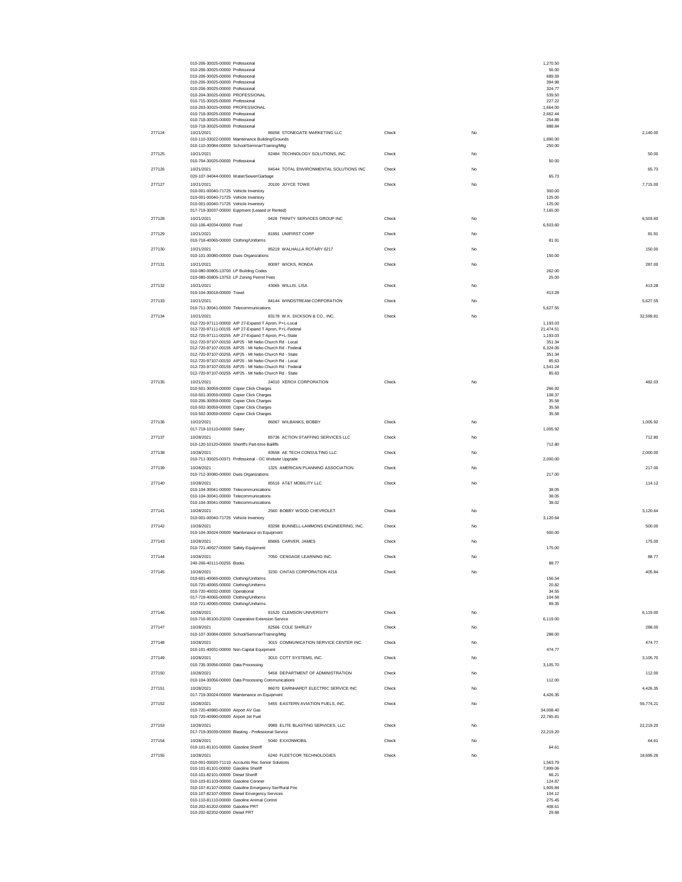|                  | 010-206-30025-00000 Professional                                                                               |       |    | 1,270.50          |           |
|------------------|----------------------------------------------------------------------------------------------------------------|-------|----|-------------------|-----------|
|                  | 010-206-30025-00000 Professional                                                                               |       |    | 56.00             |           |
|                  | 010-206-30025-00000 Professional<br>010-206-30025-00000 Professional                                           |       |    | 689.59<br>394.98  |           |
|                  | 010-206-30025-00000 Professional                                                                               |       |    | 324.77            |           |
|                  | 010-204-30025-00000 PROFESSIONAL                                                                               |       |    | 539.50            |           |
|                  | 010-715-30025-00000 Professional                                                                               |       |    | 227.22            |           |
|                  | 010-203-30025-00000 PROFESSIONAL                                                                               |       |    | 1,664.00          |           |
|                  | 010-718-30025-00000 Professional                                                                               |       |    | 2.662.44          |           |
|                  | 010-718-30025-00000 Professional<br>010-718-30025-00000 Professional                                           |       |    | 254.88<br>888.84  |           |
| 277124           | 86058 STONEGATE MARKETING LLC<br>10/21/2021                                                                    | Check | No |                   | 2.140.00  |
|                  | 010-110-33022-00000 Maintenance Building/Grounds                                                               |       |    | 1,890.00          |           |
|                  | 010-110-30084-00000 School/Seminar/Training/Mtg                                                                |       |    | 250.00            |           |
| 277125           | 82484 TECHNOLOGY SOLUTIONS, INC.<br>10/21/2021                                                                 | Check | No |                   | 50.00     |
|                  | 010-704-30025-00000 Professional                                                                               |       |    | 50.00             |           |
| 277126           | 84544 TOTAL ENVIRONMENTAL SOLUTIONS INC<br>10/21/2021                                                          | Check | No |                   | 65.73     |
|                  | 020-107-34044-00000 Water/Sewer/Garbage                                                                        |       |    | 65.73             |           |
| 277127           | 10/21/2021<br>20100 JOYCE TOWE                                                                                 | Check | No |                   | 7,715.00  |
|                  | 010-001-00040-71725 Vehicle Inventory                                                                          |       |    | 300.00            |           |
|                  | 010-001-00040-71725 Vehicle Inventory                                                                          |       |    | 125.00            |           |
|                  | 010-001-00040-71725 Vehicle Inventory                                                                          |       |    | 125.00            |           |
|                  | 017-719-30037-00000 Eqipment (Leased or Rented)                                                                |       |    | 7,165.00          |           |
| 277128           | 9428 TRINITY SERVICES GROUP INC<br>10/21/2021                                                                  | Check | No |                   | 6,503.60  |
|                  | 010-106-40034-00000 Food                                                                                       |       |    | 6,503.60          |           |
| 277129           | 81991 UNIFIRST CORP<br>10/21/2021                                                                              | Check | No |                   | 81.91     |
|                  | 010-718-40065-00000 Clothing/Uniforms                                                                          |       |    | 81.91             |           |
| 277130           | 85219 WALHALLA ROTARY 6217<br>10/21/2021                                                                       | Check | No |                   | 150.00    |
|                  | 010-101-30080-00000 Dues Organizations                                                                         |       |    | 150.00            |           |
| 277131           | 80097 WICKS, RONDA<br>10/21/2021                                                                               | Check | No |                   | 287.00    |
|                  | 010-080-00805-13700 LP Building Codes                                                                          |       |    | 262.00            |           |
|                  | 010-080-00805-13753 LP Zoning Permit Fees                                                                      |       |    | 25.00             |           |
| 277132           | 43065 WILLIS, LISA<br>10/21/2021                                                                               | Check | No |                   | 413.28    |
|                  | 010-104-30018-00000 Travel                                                                                     |       |    | 413.28            |           |
| 277133           | 84144 WINDSTREAM CORPORATION<br>10/21/2021                                                                     | Check | No |                   | 5,627.55  |
|                  | 010-711-30041-00000 Telecommunications                                                                         |       |    | 5,627.55          |           |
| 277134           | 83178 W.K. DICKSON & CO., INC.<br>10/21/2021                                                                   | Check | No |                   | 32,599.81 |
|                  | 012-720-97111-00000 AIP 27-Expand T Apron, P+L-Local                                                           |       |    | 1,193.03          |           |
|                  | 012-720-97111-00155 AIP 27-Expand T Apron, P+L-Federal                                                         |       |    | 21.474.51         |           |
|                  | 012-720-97111-00255 AIP 27-Expand T Apron, P+L-State                                                           |       |    | 1,193.03          |           |
|                  | 012-720-97107-00150 AIP25 - Mt Nebo Church Rd - Local                                                          |       |    | 351.34            |           |
|                  | 012-720-97107-00155 AIP25 - Mt Nebo Church Rd - Federal                                                        |       |    | 6,324.06          |           |
|                  | 012-720-97107-00255 AIP25 - Mt Nebo Church Rd - State<br>012-720-97107-00150 AIP25 - Mt Nebo Church Rd - Local |       |    | 351.34            |           |
|                  | 012-720-97107-00155 AIP25 - Mt Nebo Church Rd - Federal                                                        |       |    | 85.63<br>1,541.24 |           |
|                  | 012-720-97107-00255 AIP25 - Mt Nebo Church Rd - State                                                          |       |    | 85.63             |           |
|                  |                                                                                                                |       |    |                   |           |
| 277135           | 10/21/2021<br>24010 XEROX CORPORATION<br>010-501-30059-00000 Copier Click Charges                              | Check | No | 266.92            | 482.03    |
|                  | 010-501-30059-00000 Copier Click Charges                                                                       |       |    | 108.37            |           |
|                  | 010-206-30059-00000 Copier Click Charges                                                                       |       |    | 35.58             |           |
|                  | 010-502-30059-00000 Copier Click Charges                                                                       |       |    | 35.58             |           |
|                  | 010-502-30059-00000 Copier Click Charges                                                                       |       |    | 35.58             |           |
| 277136           | 10/22/2021<br>86067 WILBANKS, BOBBY                                                                            | Check | No |                   | 1,005.92  |
|                  | 017-719-10110-00000 Salary                                                                                     |       |    | 1,005.92          |           |
| 277137           | 85736 ACTION STAFFING SERVICES LLC<br>10/28/2021                                                               | Check | No |                   | 712.80    |
|                  | 010-120-10120-00000 Sheriff's Part-time Bailiffs                                                               |       |    | 712.80            |           |
| 277138           | 83558 AE TECH CONSULTING LLC<br>10/28/2021                                                                     | Check | No |                   | 2.000.00  |
|                  | 010-711-30025-00371 Professional - OC Website Upgrade                                                          |       |    | 2.000.00          |           |
| 277139           | 1325 AMERICAN PLANNING ASSOCIATION<br>10/28/2021                                                               | Check | No |                   | 217.00    |
|                  | 010-712-30080-00000 Dues Organizations                                                                         |       |    | 217.00            |           |
|                  |                                                                                                                |       |    |                   |           |
| 277140           | 85516 AT&T MOBILITY LLC<br>10/28/2021<br>010-104-30041-00000 Telecommunications                                | Check | No | 38.05             | 114.12    |
|                  | 010-104-30041-00000 Telecommunications                                                                         |       |    | 38.05             |           |
|                  | 010-104-30041-00000 Telecommunications                                                                         |       |    | 38.02             |           |
| 277141           | 2560 BOBBY WOOD CHEVROLET<br>10/28/2021                                                                        | Check | No |                   | 3,120.64  |
|                  | 010-001-00040-71725 Vehicle Inventory                                                                          |       |    | 3,120.64          |           |
|                  | 83298 BUNNELL-LAMMONS ENGINEERING, INC.<br>10/28/2021                                                          |       |    |                   |           |
| 277142           | 010-104-30024-00000 Maintenance on Equipment                                                                   | Check | No | 500.00            | 500.00    |
|                  |                                                                                                                |       |    |                   |           |
| 277143           | 85865 CARVER, JAMES<br>10/28/2021                                                                              | Check | No |                   | 175.00    |
|                  | 010-721-40027-00000 Safety Equipment                                                                           |       |    | 175.00            |           |
| 277144           | 10/28/2021<br>7050 CENGAGE LEARNING INC.                                                                       | Check | No |                   | 88.77     |
|                  | 240-206-40111-00255 Books                                                                                      |       |    | 88.77             |           |
| 277145           | 3230 CINTAS CORPORATION #216<br>10/28/2021                                                                     | Check | No |                   | 405.84    |
|                  | 010-601-40065-00000 Clothing/Uniforms                                                                          |       |    |                   |           |
|                  |                                                                                                                |       |    | 156.54            |           |
|                  | 010-720-40065-00000 Clothing/Uniforms                                                                          |       |    | 20.82             |           |
|                  | 010-720-40032-00000 Operational                                                                                |       |    | 34.55             |           |
|                  | 017-719-40065-00000 Clothing/Uniforms                                                                          |       |    | 104.58            |           |
|                  | 010-721-40065-00000 Clothing/Uniforms                                                                          |       |    | 89.35             |           |
| 277146           | 10/28/2021<br>81520 CLEMSON UNIVERSITY                                                                         | Check | No |                   | 6,119.00  |
|                  | 010-716-95100-20200 Cooperative Extension Service                                                              |       |    | 6,119.00          |           |
| 277147           | 10/28/2021<br>82566 COLE SHIRLEY                                                                               | Check | No |                   | 288.00    |
|                  | 010-107-30084-00000 School/Seminar/Training/Mtg                                                                |       |    | 288.00            |           |
| 277148           | 3015 COMMUNICATION SERVICE CENTER INC.<br>10/28/2021                                                           | Check | No |                   | 474.77    |
|                  | 010-101-40031-00000 Non-Capital Equipment                                                                      |       |    | 474.77            |           |
| 277149           | 10/28/2021<br>3010 COTT SYSTEMS, INC.                                                                          | Check | No |                   | 3,105.70  |
|                  | 010-735-30056-00000 Data Processing                                                                            |       |    | 3,105.70          |           |
| 277150           | 10/28/2021<br>9458 DEPARTMENT OF ADMINISTRATION                                                                | Check | No |                   | 112.00    |
|                  | 010-104-30056-00000 Data Processing Communications                                                             |       |    | 112.00            |           |
| 277151           | 86070 EARNHARDT ELECTRIC SERVICE INC<br>10/28/2021                                                             | Check | No |                   | 4.426.35  |
|                  | 017-719-30024-00000 Maintenance on Equipment                                                                   |       |    | 4.426.35          |           |
| 277152           | 5455 EASTERN AVIATION FUELS, INC.<br>10/28/2021                                                                | Check | No |                   | 56,774.21 |
|                  | 010-720-40980-00000 Airport AV Gas                                                                             |       |    | 34,008.40         |           |
|                  | 010-720-40990-00000 Airport Jet Fuel                                                                           |       |    | 22,765.81         |           |
| 277153           | 10/28/2021<br>9989 ELITE BLASTING SERVICES, LLC                                                                | Check | No |                   | 22.219.20 |
|                  | 017-719-30039-00000 Blasting - Professional Service                                                            |       |    | 22,219.20         |           |
|                  | 5040 EXXONMOBIL<br>10/28/2021                                                                                  | Check | No |                   | 64.61     |
|                  | 010-101-81101-00000 Gasoline Sheriff                                                                           |       |    | 64.61             |           |
|                  | 10/28/2021                                                                                                     |       |    |                   |           |
| 277154<br>277155 | 6240 FLEETCOR TECHNOLOGIES                                                                                     | Check | No | 1,563.79          | 18,695.26 |
|                  | 010-001-00020-71110 Accounts Rec Senior Solutions<br>010-101-81101-00000 Gasoline Sheriff                      |       |    | 7.899.06          |           |
|                  | 010-101-82101-00000 Diesel Sheriff                                                                             |       |    | 66.21             |           |
|                  | 010-103-81103-00000 Gasoline Coroner                                                                           |       |    | 124.87            |           |
|                  | 010-107-81107-00000 Gasoline Emergency Ser/Rural Fire                                                          |       |    | 1,905.84          |           |
|                  | 010-107-82107-00000 Diesel Emergency Services                                                                  |       |    | 104.12            |           |
|                  | 010-110-81110-00000 Gasoline Animal Control                                                                    |       |    | 275.45            |           |
|                  | 010-202-81202-00000 Gasoline PRT<br>010-202-82202-00000 Diesel PRT                                             |       |    | 408.61<br>29.68   |           |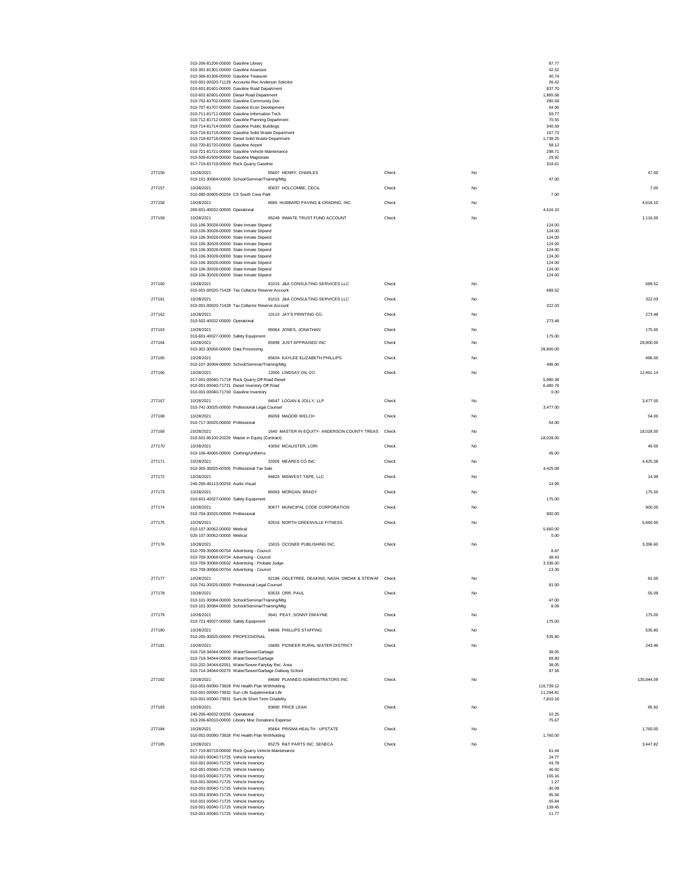|        | 010-206-81206-00000 Gasoline Library<br>010-301-81301-00000 Gasoline Assessor                                       |       | 87.77<br>42.52        |            |
|--------|---------------------------------------------------------------------------------------------------------------------|-------|-----------------------|------------|
|        | 010-306-81306-00000 Gasoline Treasurer                                                                              |       | 40.74                 |            |
|        | 010-001-00020-71129 Accounts Rec Anderson Solicitor<br>010-601-81601-00000 Gasoline Road Department                 |       | 26.42<br>837.70       |            |
|        | 010-601-82601-00000 Diesel Road Department<br>010-702-81702-00000 Gasoline-Community Dev.                           |       | 1.865.58<br>280.59    |            |
|        | 010-707-81707-00000 Gasoline Econ Development                                                                       |       | 54.06<br>59.77        |            |
|        | 010-711-81711-00000 Gasoline Information Tech<br>010-712-81712-00000 Gasoline Planning Department                   |       | 70.55                 |            |
|        | 010-714-81714-00000 Gasoline Public Buildings<br>010-718-81718-00000 Gasoline Solid Waste Department                |       | 340.59<br>167.73      |            |
|        | 010-718-82718-00000 Diesel Solid Waste Department<br>010-720-81720-00000 Gasoline Airport                           |       | 1,738.25<br>58.12     |            |
|        | 010-721-81721-00000 Gasoline Vehicle Maintenance                                                                    |       | 298.71                |            |
|        | 010-509-81509-00000 Gasoline Magistrate<br>017-719-81719-00000 Rock Quarry Gasoline                                 |       | 29.92<br>318.61       |            |
| 277156 | 10/28/2021<br>85607 HENRY, CHARLES                                                                                  | Check | No                    | 47.00      |
| 277157 | 010-101-30084-00000 School/Seminar/Training/Mtg<br>10/28/2021<br>80037 HOLCOMBE, CECIL                              | Check | 47.00<br>No           | 7.00       |
|        | 010-080-00805-00204 CS South Cove Park                                                                              |       | 7.00                  |            |
| 277158 | 8685 HUBBARD PAVING & GRADING, INC.<br>10/28/2021<br>260-601-40032-00000 Operational                                | Check | No<br>4,616.10        | 4,616.10   |
| 277159 | 85249 INMATE TRUST FUND ACCOUNT<br>10/28/2021                                                                       | Check | No                    | 1,116.00   |
|        | 010-106-30028-00000 State Inmate Stipend<br>010-106-30028-00000 State Inmate Stipend                                |       | 124.00<br>124.00      |            |
|        | 010-106-30028-00000 State Inmate Stipend                                                                            |       | 124.00                |            |
|        | 010-106-30028-00000 State Inmate Stipend<br>010-106-30028-00000 State Inmate Stipend                                |       | 124.00<br>124.00      |            |
|        | 010-106-30028-00000 State Inmate Stipend<br>010-106-30028-00000 State Inmate Stipend                                |       | 124.00<br>124.00      |            |
|        | 010-106-30028-00000 State Inmate Stipend<br>010-106-30028-00000 State Inmate Stipend                                |       | 124.00<br>124.00      |            |
| 277160 | 81015 J&A CONSULTING SERVICES LLC<br>10/28/2021                                                                     | Check | No                    | 689.52     |
|        | 010-001-00020-71428 Tax Collector Reserve Account                                                                   |       | 689.52                |            |
| 277161 | 81015 J&A CONSULTING SERVICES LLC<br>10/28/2021<br>010-001-00020-71428 Tax Collector Reserve Account                | Check | No<br>322.03          | 322.03     |
| 277162 | 10110 JAY'S PRINTING CO.<br>10/28/2021                                                                              | Check | No                    | 273.48     |
| 277163 | 010-502-40032-00000 Operational<br>10/28/2021<br>86064 JONES, JONATHAN                                              | Check | 273.48<br>No          | 175.00     |
|        | 010-601-40027-00000 Safety Equipment                                                                                |       | 175.00                |            |
| 277164 | 85998 JUST APPRAISED INC<br>10/28/2021<br>010-301-30056-00000 Data Processing                                       | Check | No<br>28,800.00       | 28,800.00  |
| 277165 | 10/28/2021<br>85604 KAYLEE ELIZABETH PHILLIPS                                                                       | Check | No                    | 486.00     |
|        | 010-107-30084-00000 School/Seminar/Training/Mtg                                                                     |       | 486.00                |            |
| 277166 | 10/28/2021<br>12000 LINDSAY OIL CO<br>017-001-00040-71719 Rock Quarry Off Road Diesel                               | Check | No<br>5,980.38        | 12,461.14  |
|        | 010-001-00040-71721 Diesel Inventory Off Road<br>010-001-00040-71700 Gasoline Inventory                             |       | 6,480.76<br>0.00      |            |
| 277167 | 84547 LOGAN & JOLLY, LLP<br>10/28/2021                                                                              | Check | No                    | 3.477.00   |
| 277168 | 010-741-30025-00000 Professional Legal Counsel<br>10/28/2021<br>86059 MADDIE WELCH                                  | Check | 3.477.00<br>No        | 54.00      |
|        | 010-717-30025-00000 Professional                                                                                    |       | 54.00                 |            |
| 277169 | 1640 MASTER IN EQUITY- ANDERSON COUNTY TREAS Check<br>10/28/2021<br>010-501-95100-20220 Master in Equity (Contract) |       | No<br>18,028.00       | 18,028.00  |
| 277170 | 10/28/2021<br>43050 MCALISTER, LORI<br>010-106-40065-00000 Clothing/Uniforms                                        | Check | No<br>45.00           | 45.00      |
| 277171 | 10/28/2021<br>33305 MEARES CO INC                                                                                   | Check | No                    | 4,425.08   |
| 277172 | 010-305-30025-60305 Professional-Tax Sale<br>84820 MIDWEST TAPE, LLC<br>10/28/2021                                  | Check | 4,425.08<br>No        | 14.99      |
|        | 240-206-40113-00255 Audio Visual                                                                                    |       | 14.99                 |            |
| 277173 | 10/28/2021<br>86063 MORGAN, BRADY<br>010-601-40027-00000 Safety Equipment                                           | Check | No<br>175.00          | 175.00     |
| 277174 | 80677 MUNICIPAL CODE CORPORATION<br>10/28/2021<br>010-704-30025-00000 Professional                                  | Check | No<br>900.00          | 900.00     |
| 277175 | 82016 NORTH GREENVILLE FITNESS<br>10/28/2021                                                                        | Check | No                    | 5.660.00   |
|        | 010-107-30062-00000 Medical<br>020-107-30062-00000 Medical                                                          |       | 5.660.00<br>0.00      |            |
| 277176 | 10/28/2021<br>15015 OCONEE PUBLISHING INC.                                                                          | Check | No                    | 3.396.60   |
|        | 010-709-30068-00704 Advertising - Council<br>010-709-30068-00704 Advertising - Council                              |       | 8.87<br>38.43         |            |
|        | 010-709-30068-00502 Advertising - Probate Judge                                                                     |       | 3,336.00              |            |
| 277177 | 010-709-30068-00704 Advertising - Council<br>10/28/2021<br>82186 OGLETREE, DEAKINS, NASH, SMOAK & STEWAF Check      |       | 13.30<br>No           | 81.00      |
|        | 010-741-30025-00000 Professional Legal Counsel                                                                      |       | 81.00                 |            |
| 277178 | 10/28/2021<br>83533 ORR, PAUL<br>010-101-30084-00000 School/Seminar/Training/Mtg                                    | Check | No<br>47.00           | 55.09      |
|        | 010-101-30084-00000 School/Seminar/Training/Mtg                                                                     |       | 8.09                  |            |
| 277179 | 10/28/2021<br>9641 PEAY, SONNY DWAYNE<br>010-721-40027-00000 Safety Equipment                                       | Check | No<br>175.00          | 175.00     |
| 277180 | 10/28/2021<br>84696 PHILLIPS STAFFING                                                                               | Check | No                    | 535.80     |
|        | 010-205-30025-00000 PROFESSIONAL                                                                                    |       | 535.80                |            |
| 277181 | 10/28/2021<br>16685 PIONEER RURAL WATER DISTRICT<br>010-718-34044-00000 Water/Sewer/Garbage                         | Check | No<br>38.05           | 243.46     |
|        | 010-718-34044-00000 Water/Sewer/Garbage<br>010-202-34044-62051 Water/Sewer-Fairplay Rec. Area                       |       | 69.80<br>38.05        |            |
|        | 010-714-34044-00270 Water/Sewer/Garbage Oakway School                                                               |       | 97.56                 |            |
| 277182 | 84680 PLANNED ADMINISTRATORS INC<br>10/28/2021<br>010-001-00090-73928 PAI Health Plan Withholding                   | Check | No<br>116,739.12      | 135,844.09 |
|        | 010-001-00090-73932 Sun Life Supplemental Life<br>010-001-00090-73931 SunLife Short Term Disability                 |       | 11,294.81<br>7,810.16 |            |
| 277183 | 83890 PRICE LEAH<br>10/28/2021                                                                                      | Check | $_{\rm No}$           | 85.92      |
|        | 240-206-40032-00255 Operational<br>013-206-60010-00000 Library Misc Donations Expense                               |       | 10.25<br>75.67        |            |
| 277184 | 10/28/2021<br>85664 PRISMA HEALTH - UPSTATE                                                                         | Check | No                    | 1,760.00   |
|        | 010-001-00090-73928 PAI Health Plan Withholding                                                                     |       | 1,760.00              |            |
| 277185 | 85275 R&T PARTS INC. SENECA<br>10/28/2021<br>017-719-80719-00000 Rock Quarry Vehicle Maintenance                    | Check | $_{\rm No}$<br>61.44  | 3,447.82   |
|        | 010-001-00040-71725 Vehicle Inventory<br>010-001-00040-71725 Vehicle Inventory                                      |       | 24.77<br>43.78        |            |
|        | 010-001-00040-71725 Vehicle Inventory                                                                               |       | 46.60                 |            |
|        | 010-001-00040-71725 Vehicle Inventory<br>010-001-00040-71725 Vehicle Inventory                                      |       | 155.16<br>1.27        |            |
|        | 010-001-00040-71725 Vehicle Inventory<br>010-001-00040-71725 Vehicle Inventory                                      |       | $-30.09$<br>95.56     |            |
|        | 010-001-00040-71725 Vehicle Inventory<br>010-001-00040-71725 Vehicle Inventory                                      |       | 55.84<br>139.45       |            |
|        | 010-001-00040-71725 Vehicle Inventory                                                                               |       | 11.77                 |            |
|        |                                                                                                                     |       |                       |            |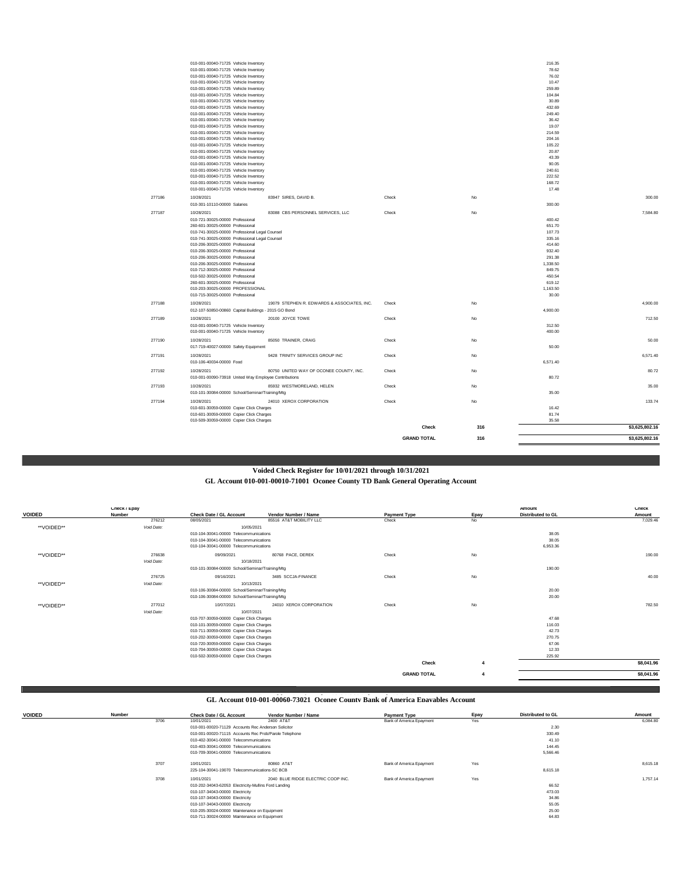|        |                                                                                                                                              |                                             | <b>GRAND TOTAL</b> | 316       |                                       | \$3,625,802.16 |
|--------|----------------------------------------------------------------------------------------------------------------------------------------------|---------------------------------------------|--------------------|-----------|---------------------------------------|----------------|
|        | 010-509-30059-00000 Copier Click Charges                                                                                                     |                                             | Check              | 316       | 35.58                                 | \$3,625,802.16 |
|        | 010-601-30059-00000 Copier Click Charges<br>010-601-30059-00000 Copier Click Charges                                                         |                                             |                    |           | 16.42<br>81.74                        |                |
| 277194 | 010-101-30084-00000 School/Seminar/Training/Mtg<br>10/28/2021                                                                                | 24010 XEROX CORPORATION                     | Check              | No        | 35.00                                 | 133.74         |
| 277193 | 010-001-00090-73918 United Way Employee Contributions<br>10/28/2021                                                                          | 85932 WESTMORELAND, HELEN                   | Check              | No        | 80.72                                 | 35.00          |
| 277192 | 010-106-40034-00000 Food<br>10/28/2021                                                                                                       | 80750 UNITED WAY OF OCONEE COUNTY, INC.     | Check              | No        | 6,571.40                              | 80.72          |
| 277191 | 10/28/2021                                                                                                                                   | 9428 TRINITY SERVICES GROUP INC             | Check              | No        |                                       | 6.571.40       |
| 277190 | 10/28/2021<br>017-719-40027-00000 Safety Equipment                                                                                           | 85050 TRAINER, CRAIG                        | Check              | No        | 50.00                                 | 50.00          |
| 277189 | 10/28/2021<br>010-001-00040-71725 Vehicle Inventory<br>010-001-00040-71725 Vehicle Inventory                                                 | 20100 JOYCE TOWE                            | Check              | No        | 312.50<br>400.00                      | 712.50         |
| 277188 | 10/28/2021<br>012-107-50850-00860 Capital Buildings - 2015 GO Bond                                                                           | 19079 STEPHEN R. EDWARDS & ASSOCIATES, INC. | Check              | <b>No</b> | 4,900.00                              | 4,900.00       |
|        | 010-502-30025-00000 Professional<br>260-601-30025-00000 Professional<br>010-203-30025-00000 PROFESSIONAL<br>010-715-30025-00000 Professional |                                             |                    |           | 450.54<br>619.12<br>1.163.50<br>30.00 |                |
|        | 010-206-30025-00000 Professional<br>010-206-30025-00000 Professional<br>010-712-30025-00000 Professional                                     |                                             |                    |           | 291.38<br>1,338.50<br>849.75          |                |
|        | 010-741-30025-00000 Professional Legal Counsel<br>010-206-30025-00000 Professional<br>010-206-30025-00000 Professional                       |                                             |                    |           | 335.16<br>414.60<br>932.40            |                |
|        | 010-721-30025-00000 Professional<br>260-601-30025-00000 Professional<br>010-741-30025-00000 Professional Legal Counsel                       |                                             |                    |           | 400.42<br>651.70<br>107.73            |                |
| 277187 | 010-301-10110-00000 Salaries<br>10/28/2021                                                                                                   | 83088 CBS PERSONNEL SERVICES, LLC           | Check              | No        | 300.00                                | 7.584.80       |
| 277186 | 10/28/2021                                                                                                                                   | 83947 SIRES, DAVID B.                       | Check              | <b>No</b> |                                       | 300.00         |
|        | 010-001-00040-71725 Vehicle Inventory<br>010-001-00040-71725 Vehicle Inventory                                                               |                                             |                    |           | 168.72<br>17.48                       |                |
|        | 010-001-00040-71725 Vehicle Inventory                                                                                                        |                                             |                    |           | 222.52                                |                |
|        | 010-001-00040-71725 Vehicle Inventory<br>010-001-00040-71725 Vehicle Inventory                                                               |                                             |                    |           | 90.05<br>240.61                       |                |
|        | 010-001-00040-71725 Vehicle Inventory                                                                                                        |                                             |                    |           | 43.39                                 |                |
|        | 010-001-00040-71725 Vehicle Inventory                                                                                                        |                                             |                    |           | 20.87                                 |                |
|        | 010-001-00040-71725 Vehicle Inventory<br>010-001-00040-71725 Vehicle Inventory                                                               |                                             |                    |           | 204.16<br>105.22                      |                |
|        | 010-001-00040-71725 Vehicle Inventory                                                                                                        |                                             |                    |           | 214.59                                |                |
|        | 010-001-00040-71725 Vehicle Inventory                                                                                                        |                                             |                    |           | 19.07                                 |                |
|        | 010-001-00040-71725 Vehicle Inventory                                                                                                        |                                             |                    |           | 36.42                                 |                |
|        | 010-001-00040-71725 Vehicle Inventory<br>010-001-00040-71725 Vehicle Inventory                                                               |                                             |                    |           | 249.40                                |                |
|        | 010-001-00040-71725 Vehicle Inventory                                                                                                        |                                             |                    |           | 30.89<br>432.69                       |                |
|        | 010-001-00040-71725 Vehicle Inventory                                                                                                        |                                             |                    |           | 104.84                                |                |
|        | 010-001-00040-71725 Vehicle Inventory                                                                                                        |                                             |                    |           | 259.89                                |                |
|        | 010-001-00040-71725 Vehicle Inventory                                                                                                        |                                             |                    |           | 10.47                                 |                |
|        | 010-001-00040-71725 Vehicle Inventory<br>010-001-00040-71725 Vehicle Inventory                                                               |                                             |                    |           | 78.62<br>76.02                        |                |
|        | 010-001-00040-71725 Vehicle Inventory                                                                                                        |                                             |                    |           | 216.35                                |                |

# **Voided Check Register for 10/01/2021 through 10/31/2021**

**GL Account 010-001-00010-71001 Oconee County TD Bank General Operating Account**

| <b>VOIDED</b> | Check / Epay<br>Number | <b>Check Date / GL Account</b>                  | Vendor Number / Name    | <b>Payment Type</b> | Epay | Amount<br>Distributed to GL | Check<br>Amount |
|---------------|------------------------|-------------------------------------------------|-------------------------|---------------------|------|-----------------------------|-----------------|
|               | 276212                 | 08/05/2021                                      | 85516 AT&T MOBILITY LLC | Check               | No   |                             | 7,029.46        |
| **VOIDED**    | Void Date:             | 10/05/2021                                      |                         |                     |      |                             |                 |
|               |                        | 010-104-30041-00000 Telecommunications          |                         |                     |      | 38.05                       |                 |
|               |                        | 010-104-30041-00000 Telecommunications          |                         |                     |      | 38.05                       |                 |
|               |                        | 010-104-30041-00000 Telecommunications          |                         |                     |      | 6,953.36                    |                 |
| **VOIDED**    | 276638                 | 09/09/2021                                      | 80768 PACE, DEREK       | Check               | No   |                             | 190.00          |
|               | Void Date:             | 10/18/2021                                      |                         |                     |      |                             |                 |
|               |                        | 010-101-30084-00000 School/Seminar/Training/Mtg |                         |                     |      | 190.00                      |                 |
|               | 276725                 | 09/16/2021                                      | 3485 SCCJA-FINANCE      | Check               | No   |                             | 40.00           |
| **VOIDED**    | Void Date:             | 10/13/2021                                      |                         |                     |      |                             |                 |
|               |                        | 010-106-30084-00000 School/Seminar/Training/Mtg |                         |                     |      | 20.00                       |                 |
|               |                        | 010-106-30084-00000 School/Seminar/Training/Mtg |                         |                     |      | 20.00                       |                 |
| **VOIDED**    | 277012                 | 10/07/2021                                      | 24010 XEROX CORPORATION | Check               | No   |                             | 782.50          |
|               | Void Date:             | 10/07/2021                                      |                         |                     |      |                             |                 |
|               |                        | 010-707-30059-00000 Copier Click Charges        |                         |                     |      | 47.68                       |                 |
|               |                        | 010-101-30059-00000 Copier Click Charges        |                         |                     |      | 116.03                      |                 |
|               |                        | 010-711-30059-00000 Copier Click Charges        |                         |                     |      | 42.73                       |                 |
|               |                        | 010-202-30059-00000 Copier Click Charges        |                         |                     |      | 270.75                      |                 |
|               |                        | 010-720-30059-00000 Copier Click Charges        |                         |                     |      | 67.06                       |                 |
|               |                        | 010-704-30059-00000 Copier Click Charges        |                         |                     |      | 12.33                       |                 |
|               |                        | 010-502-30059-00000 Copier Click Charges        |                         |                     |      | 225.92                      |                 |
|               |                        |                                                 |                         | Check               | 4    |                             | \$8,041.96      |
|               |                        |                                                 |                         | <b>GRAND TOTAL</b>  | 4    |                             | \$8,041.96      |

# **GL Account 010-001-00060-73021 Oconee County Bank of America Epayables Account Epayables Register for 10/01/2021 through 10/31/2021**

| <b>VOIDED</b> | $\sim$<br>Number |      | Check Date / GL Account                                | Vendor Number / Name               | <b>Payment Type</b>      | Epay | <b>Distributed to GL</b> | Amount   |
|---------------|------------------|------|--------------------------------------------------------|------------------------------------|--------------------------|------|--------------------------|----------|
|               |                  | 3706 | 10/01/2021                                             | 2400 AT&T                          | Bank of America Epayment | Yes  |                          | 6,084.80 |
|               |                  |      | 010-001-00020-71129 Accounts Rec Anderson Solicitor    |                                    |                          |      | 2.30                     |          |
|               |                  |      | 010-001-00020-71115 Accounts Rec Prob/Parole Telephone |                                    |                          |      | 330.49                   |          |
|               |                  |      | 010-402-30041-00000 Telecommunications                 |                                    |                          |      | 41.10                    |          |
|               |                  |      | 010-403-30041-00000 Telecommunications                 |                                    |                          |      | 144.45                   |          |
|               |                  |      | 010-709-30041-00000 Telecommunications                 |                                    |                          |      | 5,566.46                 |          |
|               |                  | 3707 | 10/01/2021                                             | 80860 AT&T                         | Bank of America Epayment | Yes  |                          | 8,615.18 |
|               |                  |      | 225-104-30041-19070 Telecommunications-SC BCB          |                                    |                          |      | 8,615.18                 |          |
|               |                  | 3708 | 10/01/2021                                             | 2040 BLUE RIDGE ELECTRIC COOP INC. | Bank of America Epayment | Yes  |                          | 1,757.14 |
|               |                  |      | 010-202-34043-62053 Electricity-Mullins Ford Landing   |                                    |                          |      | 66.52                    |          |
|               |                  |      | 010-107-34043-00000 Electricity                        |                                    |                          |      | 473.03                   |          |
|               |                  |      | 010-107-34043-00000 Electricity                        |                                    |                          |      | 34.86                    |          |
|               |                  |      | 010-107-34043-00000 Electricity                        |                                    |                          |      | 55.05                    |          |
|               |                  |      | 010-205-30024-00000 Maintenance on Equipment           |                                    |                          |      | 25.00                    |          |
|               |                  |      | 010-711-30024-00000 Maintenance on Equipment           |                                    |                          |      | 64.83                    |          |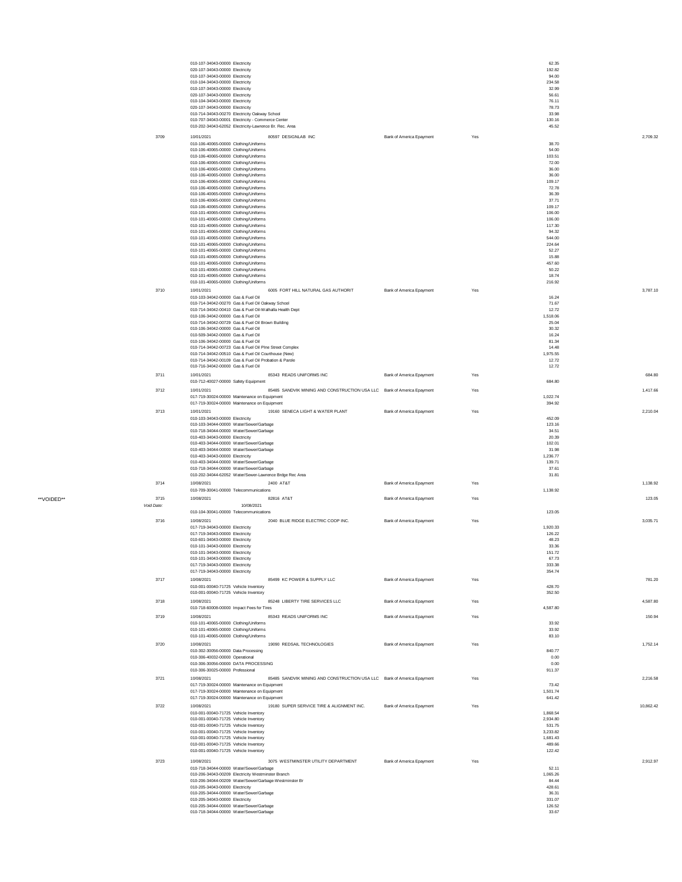|            | 010-107-34043-00000 Electricity<br>020-107-34043-00000 Electricity                                 |                                                                        |                          |     | 62.35<br>192.82    |           |
|------------|----------------------------------------------------------------------------------------------------|------------------------------------------------------------------------|--------------------------|-----|--------------------|-----------|
|            | 010-107-34043-00000 Electricity                                                                    |                                                                        |                          |     | 94.00              |           |
|            | 010-104-34043-00000 Electricity<br>010-107-34043-00000 Electricity                                 |                                                                        |                          |     | 234.58<br>32.99    |           |
|            | 020-107-34043-00000 Electricity<br>010-104-34043-00000 Electricity                                 |                                                                        |                          |     | 56.61<br>76.11     |           |
|            | 020-107-34043-00000 Electricity                                                                    |                                                                        |                          |     | 78.73<br>33.98     |           |
|            | 010-714-34043-00270 Electricity Oakway School<br>010-707-34043-00001 Electricity - Commerce Center |                                                                        |                          |     | 130.16             |           |
|            | 010-202-34043-62052 Electricity-Lawrence Br. Rec. Area                                             |                                                                        |                          |     | 45.52              |           |
| 3709       | 10/01/2021<br>010-106-40065-00000 Clothing/Uniforms                                                | 80597 DESIGNLAB INC                                                    | Bank of America Epayment | Yes | 38.70              | 2.709.32  |
|            | 010-106-40065-00000 Clothing/Uniforms                                                              |                                                                        |                          |     | 54.00              |           |
|            | 010-106-40065-00000 Clothing/Uniforms<br>010-106-40065-00000 Clothing/Uniforms                     |                                                                        |                          |     | 103.51<br>72.00    |           |
|            | 010-106-40065-00000 Clothing/Uniforms<br>010-106-40065-00000 Clothing/Uniforms                     |                                                                        |                          |     | 36.00<br>36.00     |           |
|            | 010-106-40065-00000 Clothing/Uniforms                                                              |                                                                        |                          |     | 109.17             |           |
|            | 010-106-40065-00000 Clothing/Uniforms<br>010-106-40065-00000 Clothing/Uniforms                     |                                                                        |                          |     | 72.78<br>36.39     |           |
|            | 010-106-40065-00000 Clothing/Uniforms                                                              |                                                                        |                          |     | 37.71              |           |
|            | 010-106-40065-00000 Clothing/Uniforms<br>010-101-40065-00000 Clothing/Uniforms                     |                                                                        |                          |     | 109.17<br>106.00   |           |
|            | 010-101-40065-00000 Clothing/Uniforms                                                              |                                                                        |                          |     | 106.00<br>117.30   |           |
|            | 010-101-40065-00000 Clothing/Uniforms<br>010-101-40065-00000 Clothing/Uniforms                     |                                                                        |                          |     | 94.32              |           |
|            | 010-101-40065-00000 Clothing/Uniforms<br>010-101-40065-00000 Clothing/Uniforms                     |                                                                        |                          |     | 544.00<br>224.64   |           |
|            | 010-101-40065-00000 Clothing/Uniforms                                                              |                                                                        |                          |     | 52.27              |           |
|            | 010-101-40065-00000 Clothing/Uniforms<br>010-101-40065-00000 Clothing/Uniforms                     |                                                                        |                          |     | 15.88<br>457.60    |           |
|            | 010-101-40065-00000 Clothing/Uniforms                                                              |                                                                        |                          |     | 50.22<br>18.74     |           |
|            | 010-101-40065-00000 Clothing/Uniforms<br>010-101-40065-00000 Clothing/Uniforms                     |                                                                        |                          |     | 216.92             |           |
| 3710       | 10/01/2021                                                                                         | 6005 FORT HILL NATURAL GAS AUTHORIT                                    | Bank of America Epayment | Yes |                    | 3,787.10  |
|            | 010-103-34042-00000 Gas & Fuel Oil<br>010-714-34042-00270 Gas & Fuel Oil Oakway School             |                                                                        |                          |     | 16.24<br>71.67     |           |
|            |                                                                                                    | 010-714-34042-00410 Gas & Fuel Oil-Walhalla Health Dept                |                          |     | 12.72              |           |
|            | 010-106-34042-00000 Gas & Fuel Oil<br>010-714-34042-00729 Gas & Fuel Oil Brown Building            |                                                                        |                          |     | 1,518.06<br>25.04  |           |
|            | 010-106-34042-00000 Gas & Fuel Oil<br>010-509-34042-00000 Gas & Fuel Oil                           |                                                                        |                          |     | 30.32<br>16.24     |           |
|            | 010-106-34042-00000 Gas & Fuel Oil                                                                 |                                                                        |                          |     | 81.34              |           |
|            | 010-714-34042-00510 Gas & Fuel Oil Courthouse (New)                                                | 010-714-34042-00723 Gas & Fuel Oil PIne Street Complex                 |                          |     | 14.48<br>1,975.55  |           |
|            | 010-714-34042-00109 Gas & Fuel Oil Probation & Parole                                              |                                                                        |                          |     | 12.72              |           |
| 3711       | 010-716-34042-00000 Gas & Fuel Oil<br>10/01/2021                                                   | 85343 READS UNIFORMS INC                                               | Bank of America Epayment | Yes | 12.72              | 684.80    |
|            | 010-712-40027-00000 Safety Equipment                                                               |                                                                        |                          |     | 684.80             |           |
| 3712       | 10/01/2021                                                                                         | 85485 SANDVIK MINING AND CONSTRUCTION USA LLC Bank of America Epayment |                          | Yes |                    | 1.417.66  |
|            | 017-719-30024-00000 Maintenance on Equipment<br>017-719-30024-00000 Maintenance on Equipment       |                                                                        |                          |     | 1,022.74<br>394.92 |           |
| 3713       | 10/01/2021                                                                                         | 19160 SENECA LIGHT & WATER PLANT                                       | Bank of America Epayment | Yes |                    | 2.210.04  |
|            | 010-103-34043-00000 Electricity<br>010-103-34044-00000 Water/Sewer/Garbage                         |                                                                        |                          |     | 452.09<br>123.16   |           |
|            | 010-718-34044-00000 Water/Sewer/Garbage                                                            |                                                                        |                          |     | 34.51              |           |
|            | 010-403-34043-00000 Electricity<br>010-403-34044-00000 Water/Sewer/Garbage                         |                                                                        |                          |     | 20.39<br>102.01    |           |
|            |                                                                                                    |                                                                        |                          |     |                    |           |
|            | 010-403-34044-00000 Water/Sewer/Garbage                                                            |                                                                        |                          |     | 31.98              |           |
|            | 010-403-34043-00000 Electricity<br>010-403-34044-00000 Water/Sewer/Garbage                         |                                                                        |                          |     | 1,236.77<br>139.71 |           |
|            | 010-718-34044-00000 Water/Sewer/Garbage                                                            |                                                                        |                          |     | 37.61              |           |
| 3714       | 10/08/2021                                                                                         | 010-202-34044-62052 Water/Sewer-Lawrence Brdge Rec Area<br>2400 AT&T   | Bank of America Epayment | Yes | 31.81              | 1,138.92  |
|            | 010-709-30041-00000 Telecommunications                                                             |                                                                        |                          |     | 1,138.92           |           |
| 3715       | 10/08/2021                                                                                         | 82816 AT&T                                                             | Bank of America Epayment | Yes |                    | 123.05    |
| Void Date: | 010-104-30041-00000 Telecommunications                                                             | 10/08/2021                                                             |                          |     | 123.05             |           |
| 3716       | 10/08/2021                                                                                         | 2040 BLUE RIDGE ELECTRIC COOP INC.                                     | Bank of America Epayment | Yes |                    | 3,035.71  |
|            | 017-719-34043-00000 Electricity<br>017-719-34043-00000 Electricity                                 |                                                                        |                          |     | 1,920.33<br>126.22 |           |
|            | 010-601-34043-00000 Electricity                                                                    |                                                                        |                          |     | 48.23              |           |
|            | 010-101-34043-00000 Electricity<br>010-101-34043-00000 Electricity                                 |                                                                        |                          |     | 33.36<br>151.72    |           |
|            | 010-101-34043-00000 Electricity                                                                    |                                                                        |                          |     | 67.73              |           |
|            | 017-719-34043-00000 Electricity<br>017-719-34043-00000 Electricity                                 |                                                                        |                          |     | 333.38<br>354.74   |           |
| 3717       | 10/08/2021                                                                                         | 85499 KC POWER & SUPPLY LLC                                            | Bank of America Epayment | Yes |                    | 781.20    |
|            | 010-001-00040-71725 Vehicle Inventory<br>010-001-00040-71725 Vehicle Inventory                     |                                                                        |                          |     | 428.70<br>352.50   |           |
| 3718       | 10/08/2021                                                                                         | 85248 LIBERTY TIRE SERVICES LLC                                        | Bank of America Epayment | Yes |                    | 4.587.80  |
|            | 010-718-60008-00000 Impact Fees for Tires                                                          |                                                                        |                          |     | 4,587.80           |           |
| 3719       | 10/08/2021<br>010-101-40065-00000 Clothing/Uniforms                                                | 85343 READS UNIFORMS INC                                               | Bank of America Epayment | Yes | 33.92              | 150.94    |
|            | 010-101-40065-00000 Clothing/Uniforms                                                              |                                                                        |                          |     | 33.92              |           |
| 3720       | 010-101-40065-00000 Clothing/Uniforms<br>10/08/2021                                                | 19090 REDSAIL TECHNOLOGIES                                             |                          | Yes | 83.10              | 1.752.14  |
|            | 010-302-30056-00000 Data Processing                                                                |                                                                        | Bank of America Epayment |     | 840.77             |           |
|            | 010-306-40032-00000 Operational<br>010-306-30056-00000 DATA PROCESSING                             |                                                                        |                          |     | 0.00<br>0.00       |           |
|            | 010-306-30025-00000 Professional                                                                   |                                                                        |                          |     | 911.37             |           |
| 3721       | 10/08/2021                                                                                         | 85485 SANDVIK MINING AND CONSTRUCTION USA LLC Bank of America Epayment |                          | Yes | 73.42              | 2.216.58  |
|            | 017-719-30024-00000 Maintenance on Equipment<br>017-719-30024-00000 Maintenance on Equipment       |                                                                        |                          |     | 1,501.74           |           |
|            | 017-719-30024-00000 Maintenance on Equipment                                                       |                                                                        |                          |     | 641.42             |           |
| 3722       | 10/08/2021<br>010-001-00040-71725 Vehicle Inventory                                                | 19180 SUPER SERVICE TIRE & ALIGNMENT INC.                              | Bank of America Epayment | Yes | 1,868.54           | 10.862.42 |
|            | 010-001-00040-71725 Vehicle Inventory<br>010-001-00040-71725 Vehicle Inventory                     |                                                                        |                          |     | 2,934.80<br>531.75 |           |
|            | 010-001-00040-71725 Vehicle Inventory                                                              |                                                                        |                          |     | 3,233.82           |           |
|            | 010-001-00040-71725 Vehicle Inventory<br>010-001-00040-71725 Vehicle Inventory                     |                                                                        |                          |     | 1,681.43<br>489.66 |           |
|            | 010-001-00040-71725 Vehicle Inventory                                                              |                                                                        |                          |     | 122.42             |           |
| 3723       | 10/08/2021                                                                                         | 3075 WESTMINSTER UTILITY DEPARTMENT                                    | Bank of America Epayment | Yes |                    | 2,912.97  |
|            | 010-718-34044-00000 Water/Sewer/Garbage<br>010-206-34043-00209 Electricity Westminster Branch      |                                                                        |                          |     | 52.11<br>1,065.26  |           |
|            | 010-205-34043-00000 Electricity                                                                    | 010-206-34044-00209 Water/Sewer/Garbage-Westminster Br                 |                          |     | 84.44<br>428.61    |           |
|            | 010-205-34044-00000 Water/Sewer/Garbage                                                            |                                                                        |                          |     | 36.31              |           |
|            | 010-205-34043-00000 Electricity<br>010-205-34044-00000 Water/Sewer/Garbage                         |                                                                        |                          |     | 331.07<br>126.52   |           |

\*\*VOIDED\*\*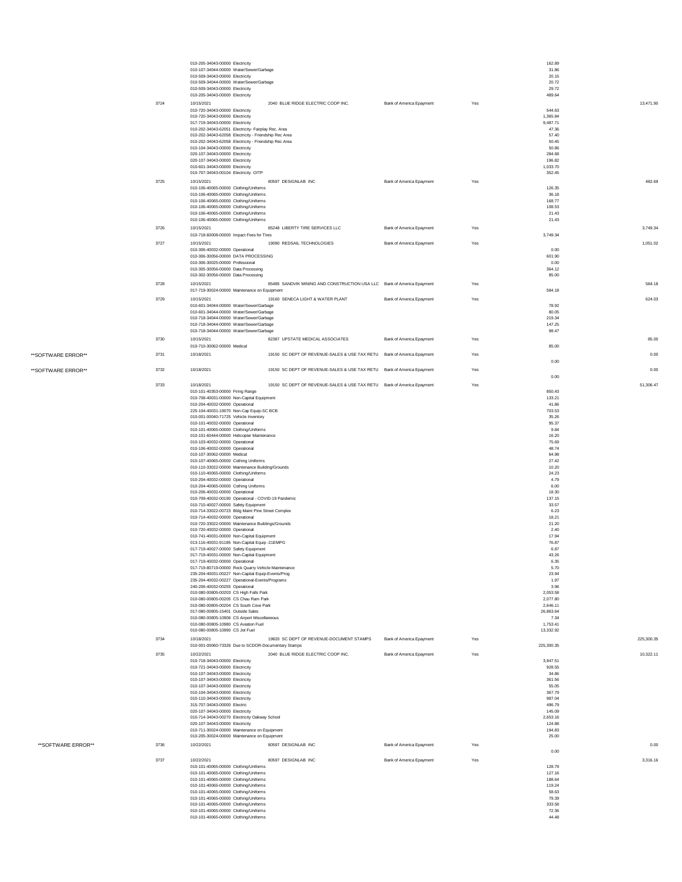|      | 010-205-34043-00000 Electricity<br>010-107-34044-00000 Water/Sewer/Garbage<br>010-509-34043-00000 Electricity<br>010-509-34044-00000 Water/Sewer/Garbage                                                                                  |                                                                        |                          |     | 162.89<br>31.86<br>20.15<br>20.72                        |            |
|------|-------------------------------------------------------------------------------------------------------------------------------------------------------------------------------------------------------------------------------------------|------------------------------------------------------------------------|--------------------------|-----|----------------------------------------------------------|------------|
|      | 010-509-34043-00000 Electricity<br>010-205-34043-00000 Electricity                                                                                                                                                                        |                                                                        |                          |     | 29.72<br>489.64                                          |            |
| 3724 | 10/15/2021<br>010-720-34043-00000 Electricity<br>010-720-34043-00000 Electricity<br>017-719-34043-00000 Electricity<br>010-202-34043-62051 Electricity- Fairplay Rec. Area<br>010-202-34043-62058 Electricity - Friendship Rec Area       | 2040 BLUE RIDGE ELECTRIC COOP INC.                                     | Bank of America Epayment | Yes | 544.63<br>1,365.84<br>9.487.71<br>47.36<br>57.40         | 13,471.90  |
|      | 010-202-34043-62058 Electricity - Friendship Rec Area<br>010-104-34043-00000 Electricity<br>020-107-34043-00000 Electricity<br>020-107-34043-00000 Electricity<br>010-601-34043-00000 Electricity<br>010-707-34043-00104 Electricity OITP |                                                                        |                          |     | 50.45<br>50.86<br>284.68<br>196.82<br>1,033.70<br>352.45 |            |
| 3725 | 10/15/2021<br>010-106-40065-00000 Clothing/Uniforms                                                                                                                                                                                       | 80597 DESIGNLAB INC                                                    | Bank of America Epayment | Yes | 126.35                                                   | 482.69     |
|      | 010-106-40065-00000 Clothing/Uniforms<br>010-106-40065-00000 Clothing/Uniforms<br>010-106-40065-00000 Clothing/Uniforms<br>010-106-40065-00000 Clothing/Uniforms<br>010-106-40065-00000 Clothing/Uniforms                                 |                                                                        |                          |     | 36.18<br>168.77<br>108.53<br>21.43<br>21.43              |            |
| 3726 | 10/15/2021                                                                                                                                                                                                                                | 85248 LIBERTY TIRE SERVICES LLC                                        | Bank of America Epayment | Yes |                                                          | 3.749.34   |
| 3727 | 010-718-60008-00000 Impact Fees for Tires<br>10/15/2021                                                                                                                                                                                   | 19090 REDSAIL TECHNOLOGIES                                             | Bank of America Epayment | Yes | 3.749.34                                                 | 1,051.02   |
|      | 010-306-40032-00000 Operational<br>010-306-30056-00000 DATA PROCESSING<br>010-306-30025-00000 Professional<br>010-305-30056-00000 Data Processing                                                                                         |                                                                        |                          |     | 0.00<br>601.90<br>0.00<br>364.12                         |            |
|      | 010-302-30056-00000 Data Processing                                                                                                                                                                                                       |                                                                        |                          |     | 85.00                                                    |            |
| 3728 | 10/15/2021<br>017-719-30024-00000 Maintenance on Equipment                                                                                                                                                                                | 85485 SANDVIK MINING AND CONSTRUCTION USA LLC Bank of America Epayment |                          | Yes | 584.18                                                   | 584.18     |
| 3729 | 10/15/2021<br>010-601-34044-00000 Water/Sewer/Garbage<br>010-601-34044-00000 Water/Sewer/Garbage<br>010-718-34044-00000 Water/Sewer/Garbage                                                                                               | 19160 SENECA LIGHT & WATER PLANT                                       | Bank of America Epayment | Yes | 78.92<br>80.05<br>219.34                                 | 624.03     |
|      | 010-718-34044-00000 Water/Sewer/Garbage<br>010-718-34044-00000 Water/Sewer/Garbage                                                                                                                                                        |                                                                        |                          |     | 147.25<br>98.47                                          |            |
| 3730 | 10/15/2021                                                                                                                                                                                                                                | 82387 UPSTATE MEDICAL ASSOCIATES                                       | Bank of America Epayment | Yes |                                                          | 85.00      |
| 3731 | 010-710-30062-00000 Medical<br>10/18/2021                                                                                                                                                                                                 | 19150 SC DEPT OF REVENUE-SALES & USE TAX RETU Bank of America Epayment |                          | Yes | 85.00                                                    | 0.00       |
| 3732 | 10/18/2021                                                                                                                                                                                                                                | 19150 SC DEPT OF REVENUE-SALES & USE TAX RETU Bank of America Epayment |                          | Yes | 0.00                                                     | 0.00       |
| 3733 | 10/18/2021                                                                                                                                                                                                                                | 19150 SC DEPT OF REVENUE-SALES & USE TAX RETU Bank of America Epayment |                          | Yes | 0.00                                                     | 51,306.47  |
|      | 010-101-40353-00000 Firing Range<br>010-708-40031-00000 Non-Capital Equipment                                                                                                                                                             |                                                                        |                          |     | 850.43<br>133.21                                         |            |
|      | 010-204-40032-00000 Operational                                                                                                                                                                                                           |                                                                        |                          |     | 41.86                                                    |            |
|      | 225-104-40031-19070 Non-Cap Equip-SC BCB<br>010-001-00040-71725 Vehicle Inventory                                                                                                                                                         |                                                                        |                          |     | 703.53<br>35.26                                          |            |
|      | 010-101-40032-00000 Operational<br>010-101-40065-00000 Clothing/Uniforms                                                                                                                                                                  |                                                                        |                          |     | 95.37<br>9.84                                            |            |
|      | 010-101-60444-00000 Helicopter Maintenance<br>010-103-40032-00000 Operational                                                                                                                                                             |                                                                        |                          |     | 16.20<br>75.69                                           |            |
|      | 010-106-40032-00000 Operational<br>010-107-30062-00000 Medical                                                                                                                                                                            |                                                                        |                          |     | 48.74<br>64.98                                           |            |
|      | 010-107-40065-00000 Cothing Uniforms                                                                                                                                                                                                      |                                                                        |                          |     | 27.42                                                    |            |
|      | 010-110-33022-00000 Maintenance Building/Grounds<br>010-110-40065-00000 Clothing/Uniforms                                                                                                                                                 |                                                                        |                          |     | 10.20<br>24.23                                           |            |
|      | 010-204-40032-00000 Operational<br>010-204-40065-00000 Cothing Uniforms                                                                                                                                                                   |                                                                        |                          |     | 4.79<br>6.00                                             |            |
|      | 010-206-40032-00000 Operational<br>010-709-40032-00190 Operational - COVID-19 Pandemic                                                                                                                                                    |                                                                        |                          |     | 18.30<br>137.15                                          |            |
|      | 010-710-40027-00000 Safety Equipment<br>010-714-33022-00723 Bldg Maint Pine Street Complex                                                                                                                                                |                                                                        |                          |     | 33.57<br>6.23                                            |            |
|      | 010-714-40032-00000 Operational                                                                                                                                                                                                           |                                                                        |                          |     | 18.21                                                    |            |
|      | 010-720-33022-00000 Maintenance Buildings/Grounds<br>010-720-40032-00000 Operational                                                                                                                                                      |                                                                        |                          |     | 21.20<br>2.40                                            |            |
|      | 010-741-40031-00000 Non-Capital Equipment<br>013-116-40031-91185 Non-Capital Equip -21EMPG                                                                                                                                                |                                                                        |                          |     | 17.94<br>76.87                                           |            |
|      | 017-719-40027-00000 Safety Equipment<br>017-719-40031-00000 Non-Capital Equipment                                                                                                                                                         |                                                                        |                          |     | 6.87<br>43.26                                            |            |
|      | 017-719-40032-00000 Operational<br>017-719-80719-00000 Rock Quarry Vehicle Maintenance                                                                                                                                                    |                                                                        |                          |     | 6.35<br>5.70                                             |            |
|      | 235-204-40031-00227 Non-Capital Equip-Events/Prog<br>235-204-40032-00227 Operational-Events/Programs                                                                                                                                      |                                                                        |                          |     | 23.94<br>1.97                                            |            |
|      | 240-206-40032-00255 Operational<br>010-080-00805-00203 CS High Falls Park                                                                                                                                                                 |                                                                        |                          |     | 3.96<br>2,053.58                                         |            |
|      | 010-080-00805-00205 CS Chau Ram Park                                                                                                                                                                                                      |                                                                        |                          |     | 2,077.80                                                 |            |
|      | 010-080-00805-00204 CS South Cove Park<br>017-080-00805-15401 Outside Sales                                                                                                                                                               |                                                                        |                          |     | 2.646.11<br>26,863.64                                    |            |
|      | 010-080-00805-10906 CS Airport Miscellaneous<br>010-080-00805-10980 CS Aviation Fuel                                                                                                                                                      |                                                                        |                          |     | 7.34<br>1,753.41                                         |            |
| 3734 | 010-080-00805-10990 CS Jet Fuel<br>10/18/2021                                                                                                                                                                                             | 19820 SC DEPT OF REVENUE-DOCUMENT STAMPS                               | Bank of America Epayment | Yes | 13,332.92                                                | 225.300.35 |
|      | 010-001-00060-73326 Due to SCDOR-Documentary Stamps                                                                                                                                                                                       |                                                                        |                          |     | 225,300.35                                               |            |
| 3735 | 10/22/2021<br>010-718-34043-00000 Electricity<br>010-721-34043-00000 Electricity                                                                                                                                                          | 2040 BLUE RIDGE ELECTRIC COOP INC.                                     | Bank of America Epayment | Yes | 3,947.51<br>928.55                                       | 10,322.11  |
|      | 010-107-34043-00000 Electricity                                                                                                                                                                                                           |                                                                        |                          |     | 34.86                                                    |            |
|      | 010-107-34043-00000 Electricity<br>010-107-34043-00000 Electricity                                                                                                                                                                        |                                                                        |                          |     | 361.56<br>55.05                                          |            |
|      | 010-104-34043-00000 Electricity<br>010-110-34043-00000 Electricity                                                                                                                                                                        |                                                                        |                          |     | 367.79<br>987.04                                         |            |
|      | 315-707-34043-00000 Electric<br>020-107-34043-00000 Electricity                                                                                                                                                                           |                                                                        |                          |     | 496.79<br>145.09                                         |            |
|      | 010-714-34043-00270 Electricity Oakway School<br>020-107-34043-00000 Electricity                                                                                                                                                          |                                                                        |                          |     | 2,653.16<br>124.88                                       |            |
|      | 010-711-30024-00000 Maintenance on Equipment<br>010-205-30024-00000 Maintenance on Equipment                                                                                                                                              |                                                                        |                          |     | 194.83<br>25.00                                          |            |
| 3736 | 10/22/2021                                                                                                                                                                                                                                | 80597 DESIGNLAB INC                                                    | Bank of America Epayment | Yes |                                                          | 0.00       |
| 3737 | 10/22/2021                                                                                                                                                                                                                                | 80597 DESIGNLAB INC                                                    | Bank of America Epayment | Yes | 0.00                                                     | 3,316.16   |
|      | 010-101-40065-00000 Clothing/Uniforms<br>010-101-40065-00000 Clothing/Uniforms                                                                                                                                                            |                                                                        |                          |     | 128.79<br>127.16                                         |            |
|      | 010-101-40065-00000 Clothing/Uniforms                                                                                                                                                                                                     |                                                                        |                          |     | 188.64                                                   |            |
|      | 010-101-40065-00000 Clothing/Uniforms<br>010-101-40065-00000 Clothing/Uniforms                                                                                                                                                            |                                                                        |                          |     | 119.24<br>58.63                                          |            |
|      | 010-101-40065-00000 Clothing/Uniforms<br>010-101-40065-00000 Clothing/Uniforms                                                                                                                                                            |                                                                        |                          |     | 79.39<br>333.58                                          |            |
|      | 010-101-40065-00000 Clothing/Uniforms<br>010-101-40065-00000 Clothing/Uniforms                                                                                                                                                            |                                                                        |                          |     | 72.36<br>44.48                                           |            |
|      |                                                                                                                                                                                                                                           |                                                                        |                          |     |                                                          |            |

\*\*SOFTWARE ERROR\*\*

\*\*SOFTWARE ERROR\*\* \*\*SOFTWARE ERROR\*\*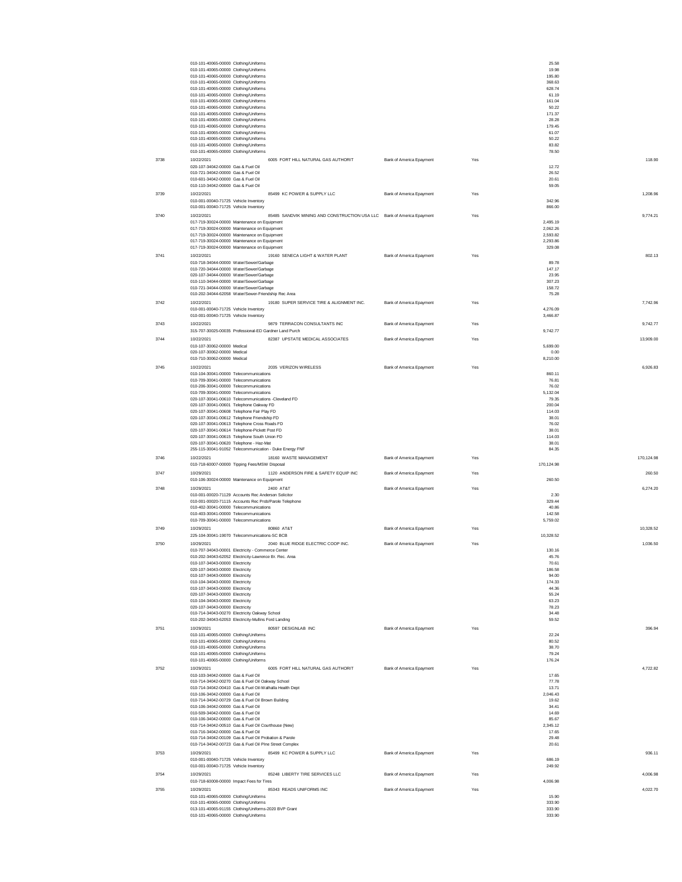|      | 010-101-40065-00000 Clothing/Uniforms                                            |                                                                                                                 |                          |     | 25.58                |            |
|------|----------------------------------------------------------------------------------|-----------------------------------------------------------------------------------------------------------------|--------------------------|-----|----------------------|------------|
|      | 010-101-40065-00000 Clothing/Uniforms                                            |                                                                                                                 |                          |     | 19.98                |            |
|      | 010-101-40065-00000 Clothing/Uniforms                                            |                                                                                                                 |                          |     | 195.80<br>368.63     |            |
|      | 010-101-40065-00000 Clothing/Uniforms<br>010-101-40065-00000 Clothing/Uniforms   |                                                                                                                 |                          |     | 628.74               |            |
|      | 010-101-40065-00000 Clothing/Uniforms                                            |                                                                                                                 |                          |     | 61.19                |            |
|      | 010-101-40065-00000 Clothing/Uniforms                                            |                                                                                                                 |                          |     | 161.04               |            |
|      | 010-101-40065-00000 Clothing/Uniforms                                            |                                                                                                                 |                          |     | 50.22                |            |
|      | 010-101-40065-00000 Clothing/Uniforms<br>010-101-40065-00000 Clothing/Uniforms   |                                                                                                                 |                          |     | 171.37<br>28.28      |            |
|      | 010-101-40065-00000 Clothing/Uniforms                                            |                                                                                                                 |                          |     | 179.45               |            |
|      | 010-101-40065-00000 Clothing/Uniforms                                            |                                                                                                                 |                          |     | 61.07                |            |
|      | 010-101-40065-00000 Clothing/Uniforms                                            |                                                                                                                 |                          |     | 50.22                |            |
|      | 010-101-40065-00000 Clothing/Uniforms                                            |                                                                                                                 |                          |     | 83.82                |            |
|      | 010-101-40065-00000 Clothing/Uniforms                                            |                                                                                                                 |                          |     | 78.50                |            |
| 3738 | 10/22/2021                                                                       | 6005 FORT HILL NATURAL GAS AUTHORIT                                                                             | Bank of America Epayment | Yes |                      | 118.90     |
|      | 020-107-34042-00000 Gas & Fuel Oil<br>010-721-34042-00000 Gas & Fuel Oil         |                                                                                                                 |                          |     | 12.72<br>26.52       |            |
|      | 010-601-34042-00000 Gas & Fuel Oil                                               |                                                                                                                 |                          |     | 20.61                |            |
|      | 010-110-34042-00000 Gas & Fuel Oil                                               |                                                                                                                 |                          |     | 59.05                |            |
| 3739 | 10/22/2021                                                                       | 85499 KC POWER & SUPPLY LLC                                                                                     | Bank of America Epayment | Yes |                      | 1.208.96   |
|      | 010-001-00040-71725 Vehicle Inventory                                            |                                                                                                                 |                          |     | 342.96               |            |
|      | 010-001-00040-71725 Vehicle Inventory                                            |                                                                                                                 |                          |     | 866.00               |            |
| 3740 | 10/22/2021                                                                       | 85485 SANDVIK MINING AND CONSTRUCTION USA LLC Bank of America Epayment                                          |                          | Yes |                      | 9,774.21   |
|      |                                                                                  | 017-719-30024-00000 Maintenance on Equipment                                                                    |                          |     | 2,495.19             |            |
|      |                                                                                  | 017-719-30024-00000 Maintenance on Equipment                                                                    |                          |     | 2,062.26             |            |
|      |                                                                                  | 017-719-30024-00000 Maintenance on Equipment                                                                    |                          |     | 2,593.82<br>2,293.86 |            |
|      |                                                                                  | 017-719-30024-00000 Maintenance on Equipment<br>017-719-30024-00000 Maintenance on Equipment                    |                          |     | 329.08               |            |
|      | 10/22/2021                                                                       |                                                                                                                 |                          |     |                      |            |
| 3741 | 010-718-34044-00000 Water/Sewer/Garbage                                          | 19160 SENECA LIGHT & WATER PLANT                                                                                | Bank of America Epayment | Yes | 89.78                | 802.13     |
|      | 010-720-34044-00000 Water/Sewer/Garbage                                          |                                                                                                                 |                          |     | 147.17               |            |
|      | 020-107-34044-00000 Water/Sewer/Garbage                                          |                                                                                                                 |                          |     | 23.95                |            |
|      | 010-110-34044-00000 Water/Sewer/Garbage                                          |                                                                                                                 |                          |     | 307.23               |            |
|      | 010-721-34044-00000 Water/Sewer/Garbage                                          |                                                                                                                 |                          |     | 158.72               |            |
|      |                                                                                  | 010-202-34044-62058 Water/Sewer-Friendship Rec Area                                                             |                          |     | 75.28                |            |
| 3742 | 10/22/2021                                                                       | 19180 SUPER SERVICE TIRE & ALIGNMENT INC.                                                                       | Bank of America Epayment | Yes |                      | 7.742.96   |
|      | 010-001-00040-71725 Vehicle Inventory                                            |                                                                                                                 |                          |     | 4.276.09             |            |
|      | 010-001-00040-71725 Vehicle Inventory                                            |                                                                                                                 |                          |     | 3,466.87             |            |
| 3743 | 10/22/2021                                                                       | 9879 TERRACON CONSULTANTS INC                                                                                   | Bank of America Epayment | Yes |                      | 9.742.77   |
|      |                                                                                  | 315-707-30025-00035 Professional-ED Gardner Land Purch                                                          |                          |     | 9,742.77             |            |
| 3744 | 10/22/2021                                                                       | 82387 UPSTATE MEDICAL ASSOCIATES                                                                                | Bank of America Epayment | Yes |                      | 13,909.00  |
|      | 010-107-30062-00000 Medical<br>020-107-30062-00000 Medical                       |                                                                                                                 |                          |     | 5,699.00<br>0.00     |            |
|      | 010-710-30062-00000 Medical                                                      |                                                                                                                 |                          |     | 8,210.00             |            |
| 3745 | 10/22/2021                                                                       | 2035 VERIZON WIRELESS                                                                                           | Bank of America Epayment | Yes |                      | 6,926.83   |
|      | 010-104-30041-00000 Telecommunications                                           |                                                                                                                 |                          |     | 860.11               |            |
|      | 010-709-30041-00000 Telecommunications                                           |                                                                                                                 |                          |     | 76.81                |            |
|      | 010-206-30041-00000 Telecommunications                                           |                                                                                                                 |                          |     | 76.02                |            |
|      | 010-709-30041-00000 Telecommunications                                           |                                                                                                                 |                          |     | 5,132.04             |            |
|      |                                                                                  | 020-107-30041-00610 Telecommunications -Cleveland FD                                                            |                          |     | 79.35                |            |
|      | 020-107-30041-00601 Telephone Oakway FD                                          | 020-107-30041-00608 Telephone Fair Play FD                                                                      |                          |     | 200.04<br>114.03     |            |
|      |                                                                                  | 020-107-30041-00612 Telephone Friendship FD                                                                     |                          |     | 38.01                |            |
|      | 020-107-30041-00613 Telephone Cross Roads FD                                     |                                                                                                                 |                          |     | 76.02                |            |
|      |                                                                                  |                                                                                                                 |                          |     |                      |            |
|      |                                                                                  | 020-107-30041-00614 Telephone-Pickett Post FD                                                                   |                          |     | 38.01                |            |
|      |                                                                                  | 020-107-30041-00615 Telephone South Union FD                                                                    |                          |     | 114.03               |            |
|      | 020-107-30041-00620 Telephone - Haz-Mat                                          |                                                                                                                 |                          |     | 38.01                |            |
|      |                                                                                  | 255-115-30041-91052 Telecommunication - Duke Energy FNF                                                         |                          |     | 84.35                |            |
| 3746 | 10/22/2021                                                                       | 18160 WASTE MANAGEMENT                                                                                          | Bank of America Epayment | Yes |                      | 170.124.98 |
|      |                                                                                  | 010-718-60007-00000 Tipping Fees/MSW Disposal                                                                   |                          |     | 170,124.98           |            |
| 3747 | 10/29/2021                                                                       | 1120 ANDERSON FIRE & SAFETY EQUIP INC                                                                           | Bank of America Epayment | Yes |                      | 260.50     |
|      |                                                                                  | 010-106-30024-00000 Maintenance on Equipment                                                                    |                          |     | 260.50               |            |
| 3748 | 10/29/2021                                                                       | 2400 AT&T                                                                                                       | Bank of America Epayment | Yes |                      | 6.274.20   |
|      |                                                                                  | 010-001-00020-71129 Accounts Rec Anderson Solicitor                                                             |                          |     | 2.30                 |            |
|      |                                                                                  | 010-001-00020-71115 Accounts Rec Prob/Parole Telephone                                                          |                          |     | 329.44               |            |
|      | 010-402-30041-00000 Telecommunications                                           |                                                                                                                 |                          |     | 40.86                |            |
|      | 010-403-30041-00000 Telecommunications<br>010-709-30041-00000 Telecommunications |                                                                                                                 |                          |     | 142.58<br>5,759.02   |            |
|      |                                                                                  |                                                                                                                 |                          |     |                      |            |
| 3749 | 10/29/2021                                                                       | 80860 AT&T<br>225-104-30041-19070 Telecommunications-SC BCB                                                     | Bank of America Epayment | Yes | 10,328.52            | 10,328.52  |
|      | 10/29/2021                                                                       |                                                                                                                 | Bank of America Epayment | Yes |                      |            |
| 3750 |                                                                                  | 2040 BLUE RIDGE ELECTRIC COOP INC.                                                                              |                          |     | 130.16               | 1,036.50   |
|      |                                                                                  | 010-707-34043-00001 Electricity - Commerce Center<br>010-202-34043-62052 Electricity-Lawrence Br. Rec. Area     |                          |     | 45.76                |            |
|      | 010-107-34043-00000 Electricity                                                  |                                                                                                                 |                          |     | 70.61                |            |
|      | 020-107-34043-00000 Electricity                                                  |                                                                                                                 |                          |     | 186.58               |            |
|      | 010-107-34043-00000 Electricity<br>010-104-34043-00000 Electricity               |                                                                                                                 |                          |     | 94.00                |            |
|      | 010-107-34043-00000 Electricity                                                  |                                                                                                                 |                          |     | 174.33<br>44.36      |            |
|      | 020-107-34043-00000 Electricity                                                  |                                                                                                                 |                          |     | 55.24                |            |
|      | 010-104-34043-00000 Electricity                                                  |                                                                                                                 |                          |     | 63.23                |            |
|      | 020-107-34043-00000 Electricity                                                  |                                                                                                                 |                          |     | 78.23                |            |
|      |                                                                                  | 010-714-34043-00270 Electricity Oakway School                                                                   |                          |     | 34.48                |            |
|      |                                                                                  | 010-202-34043-62053 Electricity-Mullins Ford Landing                                                            |                          |     | 59.52                |            |
| 3751 | 10/29/2021                                                                       | 80597 DESIGNLAB INC                                                                                             | Bank of America Epayment | Yes |                      | 396.94     |
|      | 010-101-40065-00000 Clothing/Uniforms                                            |                                                                                                                 |                          |     | 22.24                |            |
|      | 010-101-40065-00000 Clothing/Uniforms<br>010-101-40065-00000 Clothing/Uniforms   |                                                                                                                 |                          |     | 80.52<br>38.70       |            |
|      | 010-101-40065-00000 Clothing/Uniforms                                            |                                                                                                                 |                          |     | 79.24                |            |
|      | 010-101-40065-00000 Clothing/Uniforms                                            |                                                                                                                 |                          |     | 176.24               |            |
| 3752 | 10/29/2021                                                                       | 6005 FORT HILL NATURAL GAS AUTHORIT                                                                             | Bank of America Epayment | Yes |                      | 4 722 82   |
|      | 010-103-34042-00000 Gas & Fuel Oil                                               |                                                                                                                 |                          |     | 17.65                |            |
|      |                                                                                  | 010-714-34042-00270 Gas & Fuel Oil Oakway School                                                                |                          |     | 77.78                |            |
|      |                                                                                  | 010-714-34042-00410 Gas & Fuel Oil-Walhalla Health Dept                                                         |                          |     | 13.71                |            |
|      | 010-106-34042-00000 Gas & Fuel Oil                                               | 010-714-34042-00729 Gas & Fuel Oil Brown Building                                                               |                          |     | 2,046.43             |            |
|      | 010-106-34042-00000 Gas & Fuel Oil                                               |                                                                                                                 |                          |     | 19.62<br>34.41       |            |
|      | 010-509-34042-00000 Gas & Fuel Oil                                               |                                                                                                                 |                          |     | 14.69                |            |
|      | 010-106-34042-00000 Gas & Fuel Oil                                               |                                                                                                                 |                          |     | 85.67                |            |
|      |                                                                                  | 010-714-34042-00510 Gas & Fuel Oil Courthouse (New)                                                             |                          |     | 2,345.12             |            |
|      | 010-716-34042-00000 Gas & Fuel Oil                                               |                                                                                                                 |                          |     | 17.65                |            |
|      |                                                                                  | 010-714-34042-00109 Gas & Fuel Oil Probation & Parole<br>010-714-34042-00723 Gas & Fuel Oil PIne Street Complex |                          |     | 29.48<br>20.61       |            |
|      | 10/29/2021                                                                       | 85499 KC POWER & SUPPLY LLC                                                                                     | Bank of America Epayment | Yes |                      | 936.11     |
| 3753 | 010-001-00040-71725 Vehicle Inventory                                            |                                                                                                                 |                          |     | 686.19               |            |
|      | 010-001-00040-71725 Vehicle Inventory                                            |                                                                                                                 |                          |     | 249.92               |            |
| 3754 | 10/29/2021                                                                       | 85248 LIBERTY TIRE SERVICES LLC                                                                                 | Bank of America Epayment | Yes |                      | 4,006.98   |
|      | 010-718-60008-00000 Impact Fees for Tires                                        |                                                                                                                 |                          |     | 4,006.98             |            |
| 3755 | 10/29/2021                                                                       | 85343 READS UNIFORMS INC                                                                                        | Bank of America Epayment | Yes |                      | 4,022.70   |
|      | 010-101-40065-00000 Clothing/Uniforms                                            |                                                                                                                 |                          |     | 15.90                |            |
|      | 010-101-40065-00000 Clothing/Uniforms                                            |                                                                                                                 |                          |     | 333.90               |            |
|      | 010-101-40065-00000 Clothing/Uniforms                                            | 013-101-40065-91155 Clothing/Uniforms-2020 BVP Grant                                                            |                          |     | 333.90<br>333.90     |            |